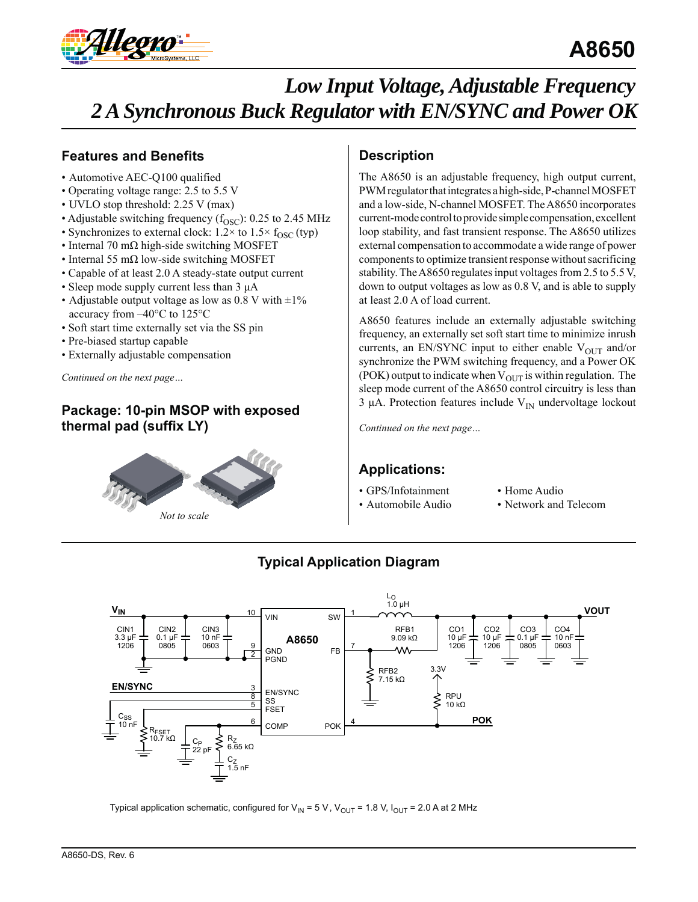

## **Features and Benefits**

- Automotive AEC-Q100 qualified
- Operating voltage range: 2.5 to 5.5 V
- UVLO stop threshold: 2.25 V (max)
- Adjustable switching frequency  $(f<sub>OSC</sub>)$ : 0.25 to 2.45 MHz
- Synchronizes to external clock:  $1.2 \times$  to  $1.5 \times f_{\text{OSC}}$  (typ)
- Internal 70 m $\Omega$  high-side switching MOSFET
- Internal 55 mΩ low-side switching MOSFET
- Capable of at least 2.0 A steady-state output current
- Sleep mode supply current less than 3 μA
- Adjustable output voltage as low as 0.8 V with  $\pm 1\%$ accuracy from –40°C to 125°C
- Soft start time externally set via the SS pin
- Pre-biased startup capable
- Externally adjustable compensation

*Continued on the next page…*

## **Package: 10-pin MSOP with exposed thermal pad (suffix LY)**



## **Description**

The A8650 is an adjustable frequency, high output current, PWM regulator that integrates a high-side, P-channel MOSFET and a low-side, N-channel MOSFET. The A8650 incorporates current-mode control to provide simple compensation, excellent loop stability, and fast transient response. The A8650 utilizes external compensation to accommodate a wide range of power components to optimize transient response without sacrificing stability. The A8650 regulates input voltages from 2.5 to 5.5 V, down to output voltages as low as 0.8 V, and is able to supply at least 2.0 A of load current.

A8650 features include an externally adjustable switching frequency, an externally set soft start time to minimize inrush currents, an EN/SYNC input to either enable  $V_{\text{OUT}}$  and/or synchronize the PWM switching frequency, and a Power OK (POK) output to indicate when  $V_{\text{OUT}}$  is within regulation. The sleep mode current of the A8650 control circuitry is less than 3 μA. Protection features include  $V_{\text{IN}}$  undervoltage lockout

*Continued on the next page…*

## **Applications:**

- GPS/Infotainment
- Automobile Audio
- Home Audio
- Network and Telecom



## **Typical Application Diagram**

Typical application schematic, configured for  $V_{IN} = 5 V$ ,  $V_{OUT} = 1.8 V$ ,  $I_{OUT} = 2.0 A$  at 2 MHz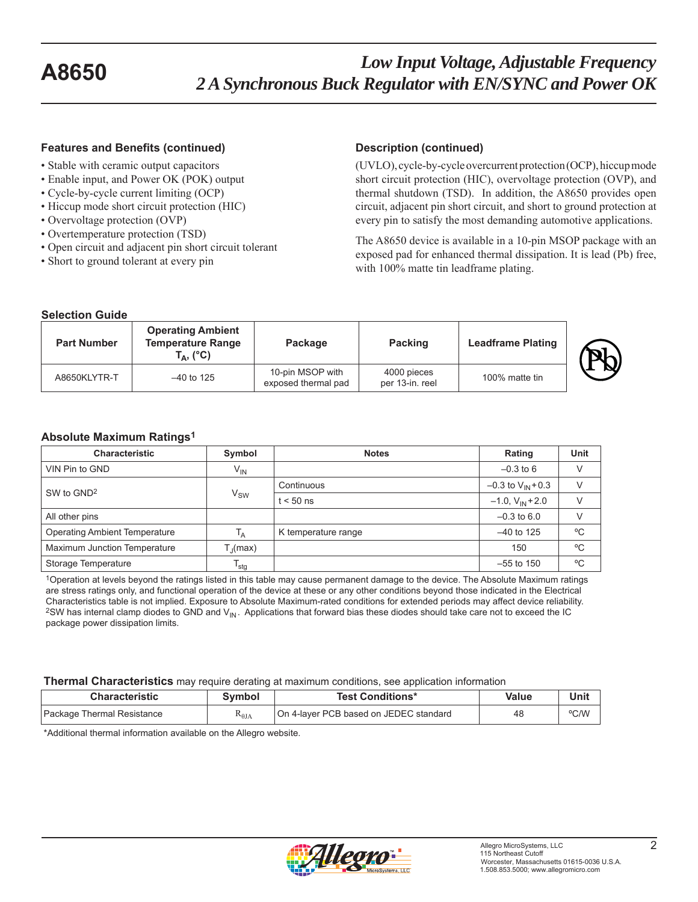#### **Features and Benefits (continued) Description (continued)**

- Stable with ceramic output capacitors
- Enable input, and Power OK (POK) output
- Cycle-by-cycle current limiting (OCP)
- Hiccup mode short circuit protection (HIC)
- Overvoltage protection (OVP)
- Overtemperature protection (TSD)
- Open circuit and adjacent pin short circuit tolerant
- Short to ground tolerant at every pin

(UVLO), cycle-by-cycle overcurrent protection (OCP), hiccup mode short circuit protection (HIC), overvoltage protection (OVP), and thermal shutdown (TSD). In addition, the A8650 provides open circuit, adjacent pin short circuit, and short to ground protection at every pin to satisfy the most demanding automotive applications.

The A8650 device is available in a 10-pin MSOP package with an exposed pad for enhanced thermal dissipation. It is lead (Pb) free, with 100% matte tin leadframe plating.

#### **Selection Guide Part Number Operating Ambient Temperature Range**

| <b>Part Number</b> | <b>Temperature Range</b><br>$\mathbf{A}$ , (°C) | Package                                 | <b>Packing</b>                 | <b>Leadframe Plating</b> |  |
|--------------------|-------------------------------------------------|-----------------------------------------|--------------------------------|--------------------------|--|
| A8650KLYTR-T       | $-40$ to 125                                    | 10-pin MSOP with<br>exposed thermal pad | 4000 pieces<br>per 13-in. reel | 100% matte tin           |  |

#### **Absolute Maximum Ratings1**

| <b>Characteristic</b>                | Symbol                      | <b>Notes</b>        | Rating                   | Unit         |
|--------------------------------------|-----------------------------|---------------------|--------------------------|--------------|
| VIN Pin to GND                       | $V_{IN}$                    |                     | $-0.3$ to 6              | $\vee$       |
| SW to GND <sup>2</sup>               |                             | Continuous          | $-0.3$ to $V_{IN}$ + 0.3 | $\vee$       |
|                                      | $V_{SW}$                    | $t < 50$ ns         | $-1.0$ , $V_{IN} + 2.0$  | $\vee$       |
| All other pins                       |                             |                     | $-0.3$ to 6.0            |              |
| <b>Operating Ambient Temperature</b> | $T_A$                       | K temperature range | $-40$ to 125             | $^{\circ}$ C |
| Maximum Junction Temperature         | $T_{\rm d}$ (max)           |                     | 150                      | $^{\circ}$ C |
| Storage Temperature                  | $\mathsf{T}_{\mathsf{stg}}$ |                     | $-55$ to 150             | °C           |

1Operation at levels beyond the ratings listed in this table may cause permanent damage to the device. The Absolute Maximum ratings are stress ratings only, and functional operation of the device at these or any other conditions beyond those indicated in the Electrical Characteristics table is not implied. Exposure to Absolute Maximum-rated conditions for extended periods may affect device reliability. <sup>2</sup>SW has internal clamp diodes to GND and  $V_{\text{IN}}$ . Applications that forward bias these diodes should take care not to exceed the IC package power dissipation limits.

#### **Thermal Characteristics** may require derating at maximum conditions, see application information

| <b>Characteristic</b>      | Svmbol          | <b>Test Conditions*</b>                | Value | Unit |
|----------------------------|-----------------|----------------------------------------|-------|------|
| Package Thermal Resistance | $R_{\theta JA}$ | On 4-laver PCB based on JEDEC standard | 48    | °C/W |

\*Additional thermal information available on the Allegro website.

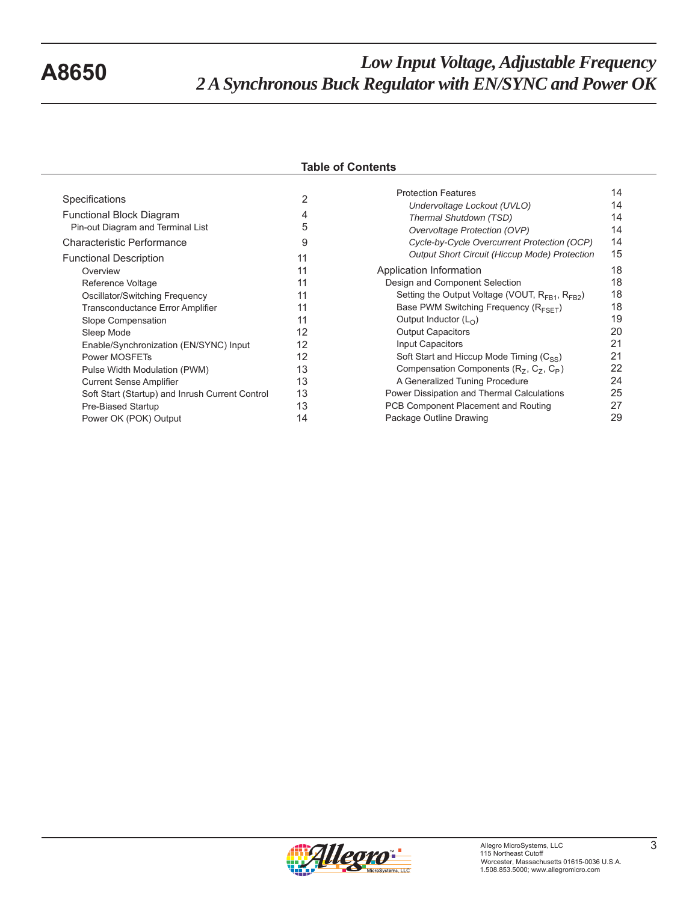### **Table of Contents**

| Specifications                                  | 2  |
|-------------------------------------------------|----|
| <b>Functional Block Diagram</b>                 | 4  |
| Pin-out Diagram and Terminal List               | 5  |
| Characteristic Performance                      | 9  |
| <b>Functional Description</b>                   | 11 |
| Overview                                        | 11 |
| Reference Voltage                               | 11 |
| Oscillator/Switching Frequency                  | 11 |
| <b>Transconductance Error Amplifier</b>         | 11 |
| Slope Compensation                              | 11 |
| Sleep Mode                                      | 12 |
| Enable/Synchronization (EN/SYNC) Input          | 12 |
| Power MOSFETs                                   | 12 |
| Pulse Width Modulation (PWM)                    | 13 |
| <b>Current Sense Amplifier</b>                  | 13 |
| Soft Start (Startup) and Inrush Current Control | 13 |
| Pre-Biased Startup                              | 13 |
| Power OK (POK) Output                           | 14 |

| <b>Protection Features</b>                                | 14 |
|-----------------------------------------------------------|----|
| Undervoltage Lockout (UVLO)                               | 14 |
| Thermal Shutdown (TSD)                                    | 14 |
| Overvoltage Protection (OVP)                              | 14 |
| Cycle-by-Cycle Overcurrent Protection (OCP)               | 14 |
| <b>Output Short Circuit (Hiccup Mode) Protection</b>      | 15 |
| Application Information                                   | 18 |
| Design and Component Selection                            | 18 |
| Setting the Output Voltage (VOUT, $R_{FR1}$ , $R_{FR2}$ ) | 18 |
| Base PWM Switching Frequency ( $R_{\text{EST}}$ )         | 18 |
| Output Inductor $(L0)$                                    | 19 |
| <b>Output Capacitors</b>                                  | 20 |
| Input Capacitors                                          | 21 |
| Soft Start and Hiccup Mode Timing $(C_{SS})$              | 21 |
| Compensation Components $(R_Z, C_Z, C_P)$                 | 22 |
| A Generalized Tuning Procedure                            | 24 |
| Power Dissipation and Thermal Calculations                | 25 |
| PCB Component Placement and Routing                       | 27 |
| Package Outline Drawing                                   | 29 |
|                                                           |    |

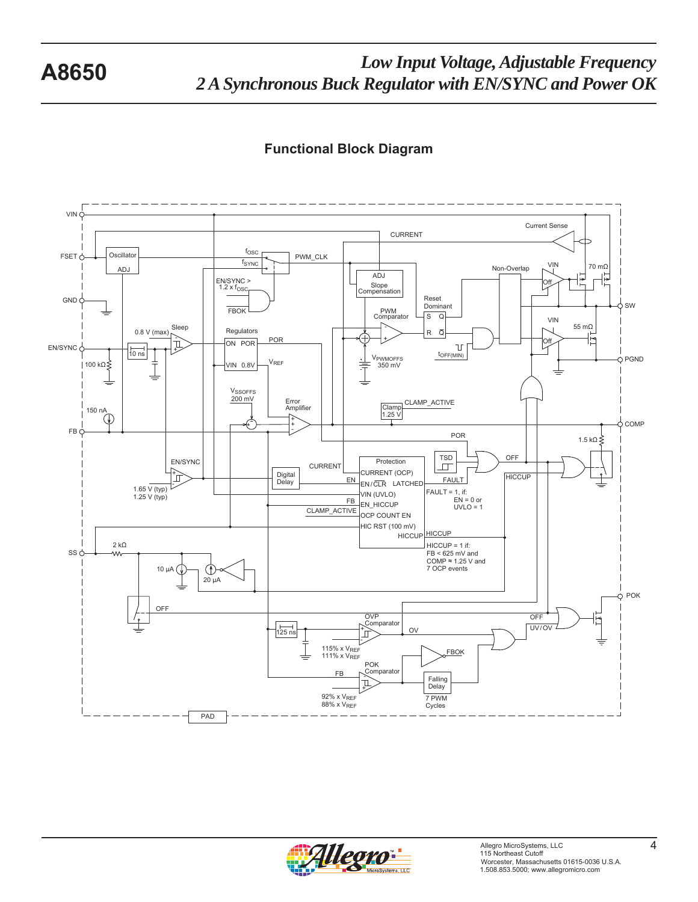## **Functional Block Diagram**



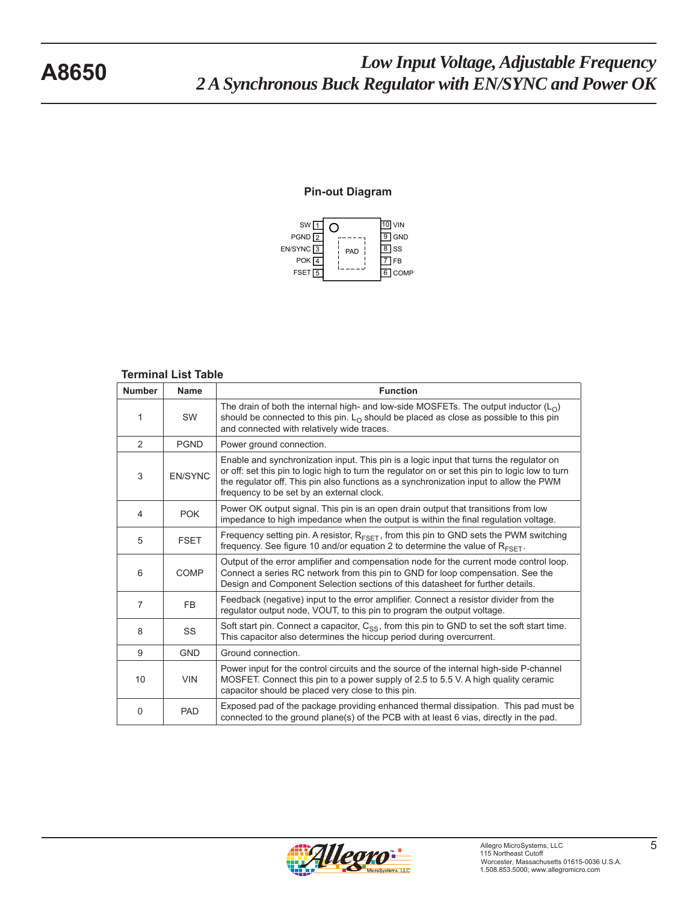#### **Pin-out Diagram**



#### **Terminal List Table**

| <b>Number</b>  | <b>Name</b>    | <b>Function</b>                                                                                                                                                                                                                                                                                                                    |
|----------------|----------------|------------------------------------------------------------------------------------------------------------------------------------------------------------------------------------------------------------------------------------------------------------------------------------------------------------------------------------|
| 1              | <b>SW</b>      | The drain of both the internal high- and low-side MOSFETs. The output inductor $(LO)$<br>should be connected to this pin. $L_0$ should be placed as close as possible to this pin<br>and connected with relatively wide traces.                                                                                                    |
| 2              | <b>PGND</b>    | Power ground connection.                                                                                                                                                                                                                                                                                                           |
| 3              | <b>EN/SYNC</b> | Enable and synchronization input. This pin is a logic input that turns the regulator on<br>or off: set this pin to logic high to turn the regulator on or set this pin to logic low to turn<br>the regulator off. This pin also functions as a synchronization input to allow the PWM<br>frequency to be set by an external clock. |
| 4              | <b>POK</b>     | Power OK output signal. This pin is an open drain output that transitions from low<br>impedance to high impedance when the output is within the final regulation voltage.                                                                                                                                                          |
| 5              | <b>FSET</b>    | Frequency setting pin. A resistor, R <sub>FSET</sub> , from this pin to GND sets the PWM switching<br>frequency. See figure 10 and/or equation 2 to determine the value of $R_{\text{FSFT}}$ .                                                                                                                                     |
| 6              | <b>COMP</b>    | Output of the error amplifier and compensation node for the current mode control loop.<br>Connect a series RC network from this pin to GND for loop compensation. See the<br>Design and Component Selection sections of this datasheet for further details.                                                                        |
| $\overline{7}$ | FB             | Feedback (negative) input to the error amplifier. Connect a resistor divider from the<br>regulator output node, VOUT, to this pin to program the output voltage.                                                                                                                                                                   |
| 8              | SS             | Soft start pin. Connect a capacitor, $C_{SS}$ , from this pin to GND to set the soft start time.<br>This capacitor also determines the hiccup period during overcurrent.                                                                                                                                                           |
| 9              | <b>GND</b>     | Ground connection.                                                                                                                                                                                                                                                                                                                 |
| 10             | <b>VIN</b>     | Power input for the control circuits and the source of the internal high-side P-channel<br>MOSFET. Connect this pin to a power supply of 2.5 to 5.5 V. A high quality ceramic<br>capacitor should be placed very close to this pin.                                                                                                |
| 0              | <b>PAD</b>     | Exposed pad of the package providing enhanced thermal dissipation. This pad must be<br>connected to the ground plane(s) of the PCB with at least 6 vias, directly in the pad.                                                                                                                                                      |

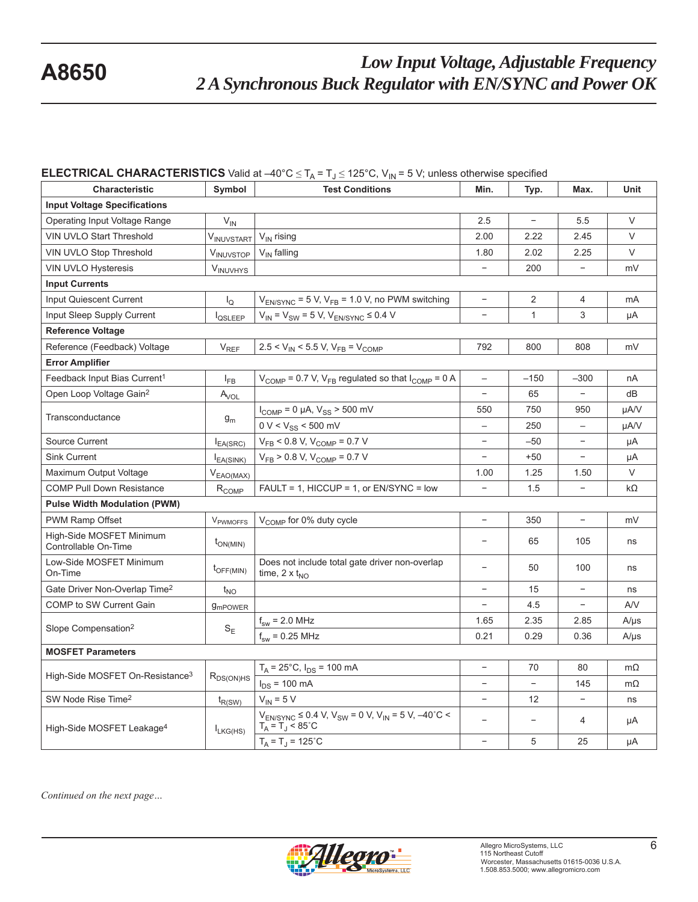#### **ELECTRICAL CHARACTERISTICS** Valid at  $-40^{\circ}C \le T_A = T_J \le 125^{\circ}C$ , V<sub>IN</sub> = 5 V; unless otherwise specified

| Characteristic                                   | Symbol<br><b>Test Conditions</b> |                                                                                                          | Min.                     | Typ.                     | Max.                     | Unit      |
|--------------------------------------------------|----------------------------------|----------------------------------------------------------------------------------------------------------|--------------------------|--------------------------|--------------------------|-----------|
| <b>Input Voltage Specifications</b>              |                                  |                                                                                                          |                          |                          |                          |           |
| Operating Input Voltage Range                    | $V_{IN}$                         |                                                                                                          | 2.5                      | $\overline{\phantom{a}}$ | 5.5                      | $\vee$    |
| VIN UVLO Start Threshold                         | V <sub>INUVSTART</sub>           | $V_{IN}$ rising                                                                                          | 2.00                     | 2.22                     | 2.45                     | $\vee$    |
| VIN UVLO Stop Threshold                          | V <sub>INUVSTOP</sub>            | $V_{IN}$ falling                                                                                         | 1.80                     | 2.02                     | 2.25                     | $\vee$    |
| <b>VIN UVLO Hysteresis</b>                       | <b>VINUVHYS</b>                  |                                                                                                          | $\overline{\phantom{a}}$ | 200                      | $\overline{\phantom{a}}$ | mV        |
| <b>Input Currents</b>                            |                                  |                                                                                                          |                          |                          |                          |           |
| <b>Input Quiescent Current</b>                   | $\mathsf{I}_\Omega$              | $V_{EN/SYNC}$ = 5 V, $V_{FB}$ = 1.0 V, no PWM switching                                                  | $\equiv$                 | 2                        | $\overline{4}$           | mA        |
| Input Sleep Supply Current                       | <b>I</b> QSLEEP                  | $V_{IN}$ = $V_{SW}$ = 5 V, $V_{EN/SYNC}$ ≤ 0.4 V                                                         |                          | $\mathbf{1}$             | 3                        | μA        |
| <b>Reference Voltage</b>                         |                                  |                                                                                                          |                          |                          |                          |           |
| Reference (Feedback) Voltage                     | $\mathsf{V}_{\mathsf{REF}}$      | $2.5 < V_{IN} < 5.5 V, V_{FB} = V_{COMP}$                                                                | 792                      | 800                      | 808                      | mV        |
| <b>Error Amplifier</b>                           |                                  |                                                                                                          |                          |                          |                          |           |
| Feedback Input Bias Current <sup>1</sup>         | $I_{FB}$                         | $V_{\text{COMP}}$ = 0.7 V, V <sub>FB</sub> regulated so that $I_{\text{COMP}}$ = 0 A                     |                          | $-150$                   | $-300$                   | nA        |
| Open Loop Voltage Gain <sup>2</sup>              | $A_{VOL}$                        |                                                                                                          |                          | 65                       |                          | dB        |
| Transconductance                                 | $g_m$                            | $I_{COMP} = 0 \mu A$ , $V_{SS} > 500 \mu V$                                                              | 550                      | 750                      | 950                      | µA/V      |
|                                                  |                                  | $0 V < V_{SS}$ < 500 mV                                                                                  |                          | 250                      | $\qquad \qquad -$        | µA/V      |
| Source Current                                   | $I_{EA(SRC)}$                    | $V_{FB}$ < 0.8 V, $V_{COMP}$ = 0.7 V                                                                     | $\overline{\phantom{a}}$ | $-50$                    | $\overline{\phantom{a}}$ | μA        |
| <b>Sink Current</b>                              | $I_{EA(SINK)}$                   | $V_{FB}$ > 0.8 V, $V_{COMP}$ = 0.7 V                                                                     | $\overline{\phantom{a}}$ | $+50$                    | $\overline{\phantom{a}}$ | μA        |
| Maximum Output Voltage                           | $V_{EAO(MAX)}$                   |                                                                                                          | 1.00                     | 1.25                     | 1.50                     | V         |
| COMP Pull Down Resistance                        | $R_{COMP}$                       | FAULT = 1, HICCUP = 1, or EN/SYNC = low                                                                  |                          | 1.5                      | $\qquad \qquad -$        | $k\Omega$ |
| <b>Pulse Width Modulation (PWM)</b>              |                                  |                                                                                                          |                          |                          |                          |           |
| <b>PWM Ramp Offset</b>                           | V <sub>PWMOFFS</sub>             | V <sub>COMP</sub> for 0% duty cycle                                                                      | $\overline{\phantom{a}}$ | 350                      | $\overline{\phantom{a}}$ | mV        |
| High-Side MOSFET Minimum<br>Controllable On-Time | $t_{ON(MIN)}$                    |                                                                                                          |                          | 65                       | 105                      | ns        |
| Low-Side MOSFET Minimum<br>On-Time               | $t_{\text{OFF(MIN)}}$            | Does not include total gate driver non-overlap<br>time, $2 \times t_{NO}$                                | $\overline{\phantom{0}}$ | 50                       | 100                      | ns        |
| Gate Driver Non-Overlap Time <sup>2</sup>        | $t_{NO}$                         |                                                                                                          | $\overline{\phantom{a}}$ | 15                       | $\overline{\phantom{a}}$ | ns        |
| COMP to SW Current Gain                          | <b>9mPOWER</b>                   |                                                                                                          | $\equiv$                 | 4.5                      | $\overline{\phantom{a}}$ | A/V       |
|                                                  |                                  | $f_{sw}$ = 2.0 MHz                                                                                       | 1.65                     | 2.35                     | 2.85                     | $A/\mu s$ |
| Slope Compensation <sup>2</sup>                  | $S_{E}$                          | $f_{sw}$ = 0.25 MHz                                                                                      | 0.21                     | 0.29                     | 0.36                     | $A/\mu s$ |
| <b>MOSFET Parameters</b>                         |                                  |                                                                                                          |                          |                          |                          |           |
|                                                  |                                  | $T_A = 25^{\circ}C$ , $I_{DS} = 100$ mA                                                                  |                          | 70                       | 80                       | $m\Omega$ |
| High-Side MOSFET On-Resistance <sup>3</sup>      | $R_{DS(ON)HS}$                   | $I_{DS}$ = 100 mA                                                                                        |                          |                          | 145                      | $m\Omega$ |
| SW Node Rise Time <sup>2</sup>                   | $t_{R(SW)}$                      | $V_{IN}$ = 5 V                                                                                           |                          | 12                       |                          | ns        |
| High-Side MOSFET Leakage <sup>4</sup>            | $I_{LKG(HS)}$                    | $V_{EN/SYNC} \le 0.4$ V, $V_{SW} = 0$ V, $V_{IN} = 5$ V, $-40^{\circ}$ C <<br>$T_A = T_J < 85^{\circ}$ C | $\overline{\phantom{0}}$ | $\overline{\phantom{a}}$ | 4                        | μA        |
|                                                  |                                  | $T_A = T_J = 125^{\circ}C$                                                                               | $\equiv$                 | 5                        | 25                       | μA        |

*Continued on the next page…*

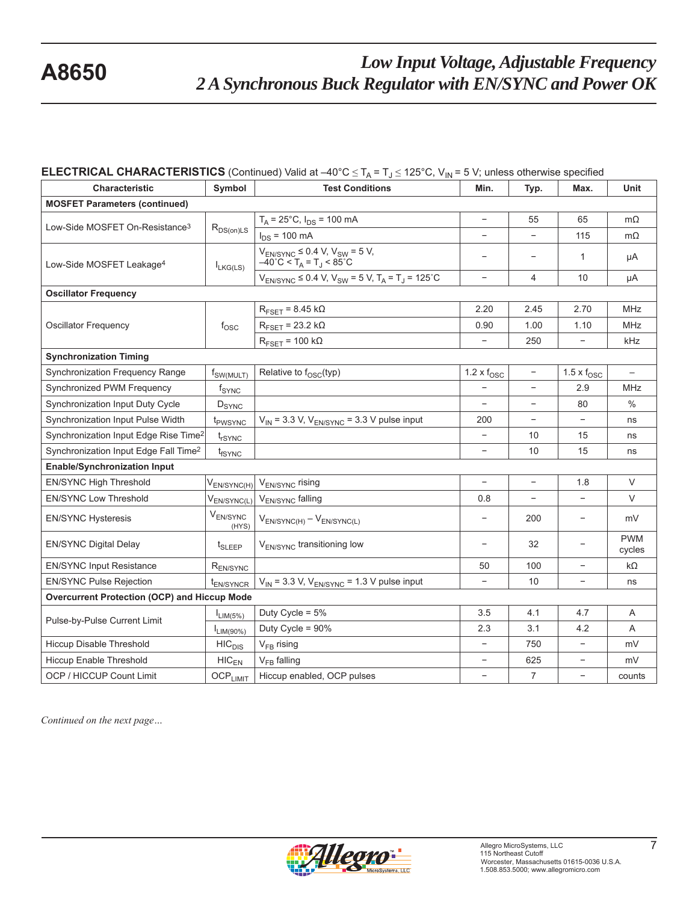### **ELECTRICAL CHARACTERISTICS** (Continued) Valid at  $-40^{\circ}C \le T_A = T_J \le 125^{\circ}C$ , V<sub>IN</sub> = 5 V; unless otherwise specified

| Characteristic                                      | Symbol                  | <b>Test Conditions</b>                                                                                           | Min.                        | Typ.                     | Max.                        | Unit                 |
|-----------------------------------------------------|-------------------------|------------------------------------------------------------------------------------------------------------------|-----------------------------|--------------------------|-----------------------------|----------------------|
| <b>MOSFET Parameters (continued)</b>                |                         |                                                                                                                  |                             |                          |                             |                      |
|                                                     |                         | $T_A$ = 25°C, $I_{DS}$ = 100 mA                                                                                  |                             | 55                       | 65                          | $m\Omega$            |
| Low-Side MOSFET On-Resistance <sup>3</sup>          | $R_{DS(on)LS}$          | $I_{DS}$ = 100 mA                                                                                                | $\overline{\phantom{0}}$    |                          | 115                         | $m\Omega$            |
| Low-Side MOSFET Leakage <sup>4</sup>                | $I_{LKG(LS)}$           | $V_{EN/SYNC} \leq 0.4$ V, $V_{SW} = 5$ V,<br>$-40^{\circ}$ C < T <sub>A</sub> = T <sub>J</sub> < 85 $^{\circ}$ C | $\overline{\phantom{a}}$    | $\qquad \qquad -$        | $\mathbf{1}$                | μA                   |
|                                                     |                         | $V_{EN/SYNC} \le 0.4$ V, $V_{SW} = 5$ V, $T_A = T_J = 125$ °C                                                    | $\overline{\phantom{a}}$    | 4                        | 10                          | μA                   |
| <b>Oscillator Frequency</b>                         |                         |                                                                                                                  |                             |                          |                             |                      |
|                                                     |                         | $R_{\text{FSET}}$ = 8.45 k $\Omega$                                                                              | 2.20                        | 2.45                     | 2.70                        | <b>MHz</b>           |
| <b>Oscillator Frequency</b>                         | $f_{\rm OSC}$           | $R_{\text{FSET}}$ = 23.2 k $\Omega$                                                                              | 0.90                        | 1.00                     | 1.10                        | MHz                  |
|                                                     |                         | $R_{\text{FSET}} = 100 \text{ k}\Omega$                                                                          |                             | 250                      |                             | kHz                  |
| <b>Synchronization Timing</b>                       |                         |                                                                                                                  |                             |                          |                             |                      |
| Synchronization Frequency Range                     | f <sub>SW(MULT)</sub>   | Relative to $f_{\text{OSC}}(typ)$                                                                                | $1.2 \times f_{\text{OSC}}$ | $\overline{\phantom{a}}$ | $1.5 \times f_{\text{OSC}}$ |                      |
| Synchronized PWM Frequency                          | $f_{SYNC}$              |                                                                                                                  |                             |                          | 2.9                         | <b>MHz</b>           |
| Synchronization Input Duty Cycle                    | D <sub>SYNC</sub>       |                                                                                                                  |                             | $\overline{\phantom{a}}$ | 80                          | $\%$                 |
| Synchronization Input Pulse Width                   | t <sub>PWSYNC</sub>     | $V_{IN}$ = 3.3 V, $V_{EN/SYNC}$ = 3.3 V pulse input                                                              | 200                         | $\overline{\phantom{a}}$ | $\overline{\phantom{a}}$    | ns                   |
| Synchronization Input Edge Rise Time <sup>2</sup>   | t <sub>rSYNC</sub>      |                                                                                                                  |                             | 10                       | 15                          | ns                   |
| Synchronization Input Edge Fall Time <sup>2</sup>   | t <sub>fSYNC</sub>      |                                                                                                                  | $\overline{\phantom{a}}$    | 10                       | 15                          | ns                   |
| <b>Enable/Synchronization Input</b>                 |                         |                                                                                                                  |                             |                          |                             |                      |
| EN/SYNC High Threshold                              | V <sub>EN/SYNC(H)</sub> | V <sub>EN/SYNC</sub> rising                                                                                      |                             |                          | 1.8                         | $\vee$               |
| <b>EN/SYNC Low Threshold</b>                        | $V_{EN/SYNC(L)}$        | V <sub>EN/SYNC</sub> falling                                                                                     | 0.8                         | $\overline{\phantom{a}}$ |                             | V                    |
| <b>EN/SYNC Hysteresis</b>                           | $V_{EN/SYNC}$<br>(HYS)  | $V_{EN/SYNC(H)} - V_{EN/SYNC(L)}$                                                                                |                             | 200                      |                             | mV                   |
| <b>EN/SYNC Digital Delay</b>                        | t <sub>SLEEP</sub>      | V <sub>EN/SYNC</sub> transitioning low                                                                           | $\overline{\phantom{0}}$    | 32                       |                             | <b>PWM</b><br>cycles |
| <b>EN/SYNC Input Resistance</b>                     | $R_{EN/SYNC}$           |                                                                                                                  | 50                          | 100                      | $\overline{\phantom{a}}$    | kΩ                   |
| <b>EN/SYNC Pulse Rejection</b>                      | $t_{EN/SYNCR}$          | $V_{IN}$ = 3.3 V, $V_{EN/SYNC}$ = 1.3 V pulse input                                                              |                             | 10                       | $\overline{\phantom{a}}$    | ns                   |
| <b>Overcurrent Protection (OCP) and Hiccup Mode</b> |                         |                                                                                                                  |                             |                          |                             |                      |
| Pulse-by-Pulse Current Limit                        | $I_{LIM(5\%)}$          | Duty Cycle = $5%$                                                                                                | 3.5                         | 4.1                      | 4.7                         | Α                    |
|                                                     | LIM(90%)                | Duty Cycle = 90%                                                                                                 | 2.3                         | 3.1                      | 4.2                         | A                    |
| Hiccup Disable Threshold                            | HIC <sub>DIS</sub>      | $V_{FB}$ rising                                                                                                  |                             | 750                      |                             | mV                   |
| Hiccup Enable Threshold                             | $HIC_{EN}$              | V <sub>FB</sub> falling                                                                                          |                             | 625                      |                             | mV                   |
| OCP / HICCUP Count Limit                            | <b>OCPLIMIT</b>         | Hiccup enabled, OCP pulses                                                                                       | $\overline{\phantom{a}}$    | $\overline{7}$           | $\overline{\phantom{a}}$    | counts               |

*Continued on the next page…*

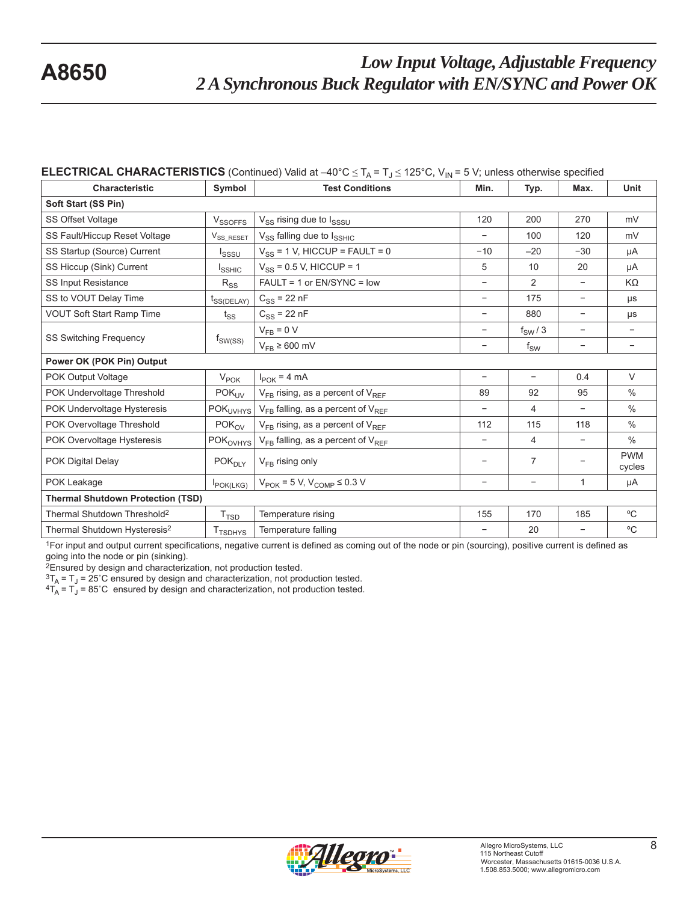#### **ELECTRICAL CHARACTERISTICS** (Continued) Valid at  $-40^{\circ}C \le T_A = T_J \le 125^{\circ}C$ , V<sub>IN</sub> = 5 V; unless otherwise specified

| <b>Characteristic</b>                    | Symbol                     | $\mathbf{H}$<br><b>Test Conditions</b>            |                          | Typ.                     | Max.              | <b>Unit</b>              |
|------------------------------------------|----------------------------|---------------------------------------------------|--------------------------|--------------------------|-------------------|--------------------------|
| Soft Start (SS Pin)                      |                            |                                                   |                          |                          |                   |                          |
| <b>SS Offset Voltage</b>                 | V <sub>SSOFFS</sub>        | V <sub>SS</sub> rising due to I <sub>SSSU</sub>   | 120                      | 200                      | 270               | mV                       |
| SS Fault/Hiccup Reset Voltage            | V <sub>SS</sub> RESET      | V <sub>SS</sub> falling due to I <sub>SSHIC</sub> |                          | 100                      | 120               | mV                       |
| SS Startup (Source) Current              | Isssu                      | $V_{SS}$ = 1 V, HICCUP = FAULT = 0                | $-10$                    | $-20$                    | $-30$             | μA                       |
| SS Hiccup (Sink) Current                 | I <sub>SSHIC</sub>         | $V_{SS}$ = 0.5 V, HICCUP = 1                      | 5                        | 10                       | 20                | μA                       |
| <b>SS Input Resistance</b>               | $R_{SS}$                   | FAULT = 1 or EN/SYNC = low                        |                          | 2                        |                   | KΩ                       |
| SS to VOUT Delay Time                    | $t_{SS(DELAY)}$            | $C_{SS}$ = 22 nF                                  | $\overline{\phantom{a}}$ | 175                      | $\qquad \qquad -$ | μs                       |
| <b>VOUT Soft Start Ramp Time</b>         | $t_{SS}$                   | $C_{SS}$ = 22 nF                                  | -                        | 880                      | -                 | μs                       |
|                                          |                            | $V_{FB} = 0 V$                                    | $\qquad \qquad -$        | $f_{SW}/3$               | $\qquad \qquad -$ | $\overline{\phantom{0}}$ |
| <b>SS Switching Frequency</b>            | $t_{SW(SS)}$               | $V_{FB} \ge 600$ mV                               | -                        | $f_{SW}$                 | -                 | -                        |
| Power OK (POK Pin) Output                |                            |                                                   |                          |                          |                   |                          |
| POK Output Voltage                       | $V_{\text{POK}}$           | $I_{\text{POK}} = 4 \text{ mA}$                   | $\overline{\phantom{a}}$ | $\overline{\phantom{a}}$ | 0.4               | $\vee$                   |
| POK Undervoltage Threshold               | POK <sub>UV</sub>          | $V_{FB}$ rising, as a percent of $V_{REF}$        | 89                       | 92                       | 95                | $\%$                     |
| POK Undervoltage Hysteresis              | <b>POK<sub>UVHYS</sub></b> | $V_{FB}$ falling, as a percent of $V_{REF}$       |                          | 4                        |                   | $\frac{0}{0}$            |
| POK Overvoltage Threshold                | POK <sub>OV</sub>          | $V_{FB}$ rising, as a percent of $V_{REF}$        | 112                      | 115                      | 118               | $\frac{0}{0}$            |
| POK Overvoltage Hysteresis               | POK <sub>OVHYS</sub>       | $V_{FB}$ falling, as a percent of $V_{REF}$       | $\overline{\phantom{a}}$ | 4                        | $\qquad \qquad -$ | $\%$                     |
| POK Digital Delay                        | POK <sub>DLY</sub>         | $V_{FB}$ rising only                              |                          | 7                        |                   | <b>PWM</b><br>cycles     |
| POK Leakage                              | <b>I</b> POK(LKG)          | $V_{\text{POK}}$ = 5 V, $V_{\text{COMP}}$ ≤ 0.3 V | $\overline{\phantom{a}}$ | $\overline{\phantom{a}}$ | 1                 | μA                       |
| <b>Thermal Shutdown Protection (TSD)</b> |                            |                                                   |                          |                          |                   |                          |
| Thermal Shutdown Threshold <sup>2</sup>  | T <sub>TSD</sub>           | Temperature rising                                | 155                      | 170                      | 185               | $\rm ^{o}C$              |
| Thermal Shutdown Hysteresis <sup>2</sup> | T <sub>TSDHYS</sub>        | Temperature falling                               |                          | 20                       |                   | $\rm ^{o}C$              |

1For input and output current specifications, negative current is defined as coming out of the node or pin (sourcing), positive current is defined as going into the node or pin (sinking).

<sup>2</sup>Ensured by design and characterization, not production tested.<br> ${}^{3}T_A = T_J = 25^{\circ}C$  ensured by design and characterization, not production tested.

 ${}^{4}T_{A} = T_{J} = 85^{\circ}$ C ensured by design and characterization, not production tested.

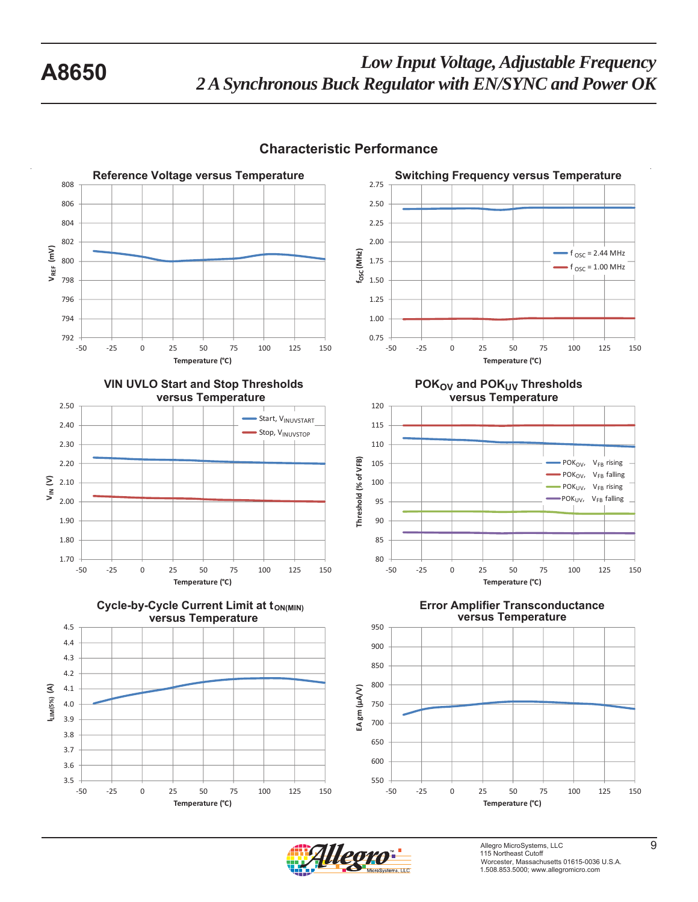

## **Characteristic Performance**

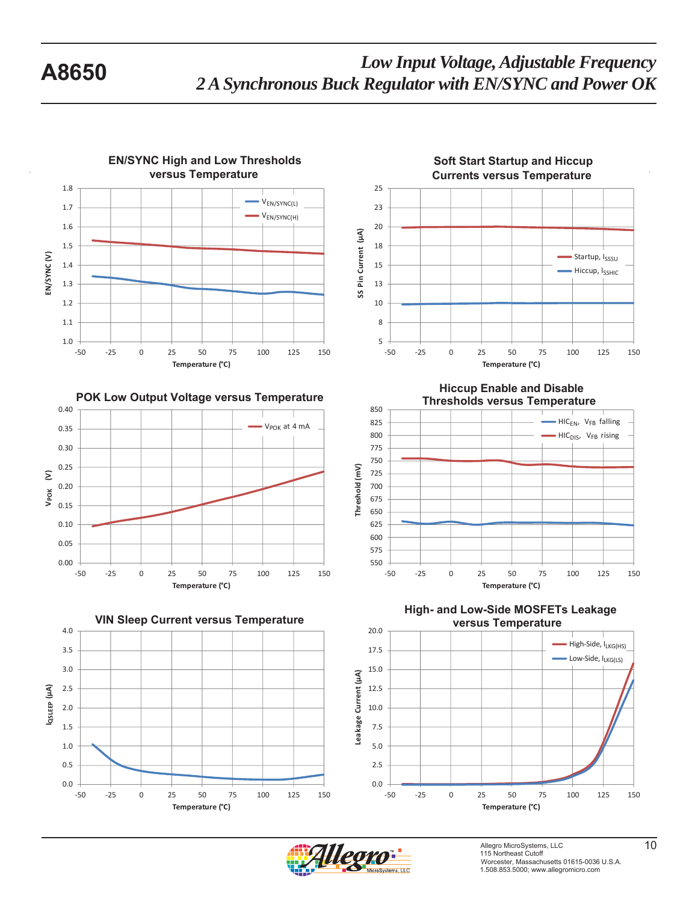







**Hiccup Enable and Disable**



**versus Temperature High- and Low-Side MOSFETs Leakage** 



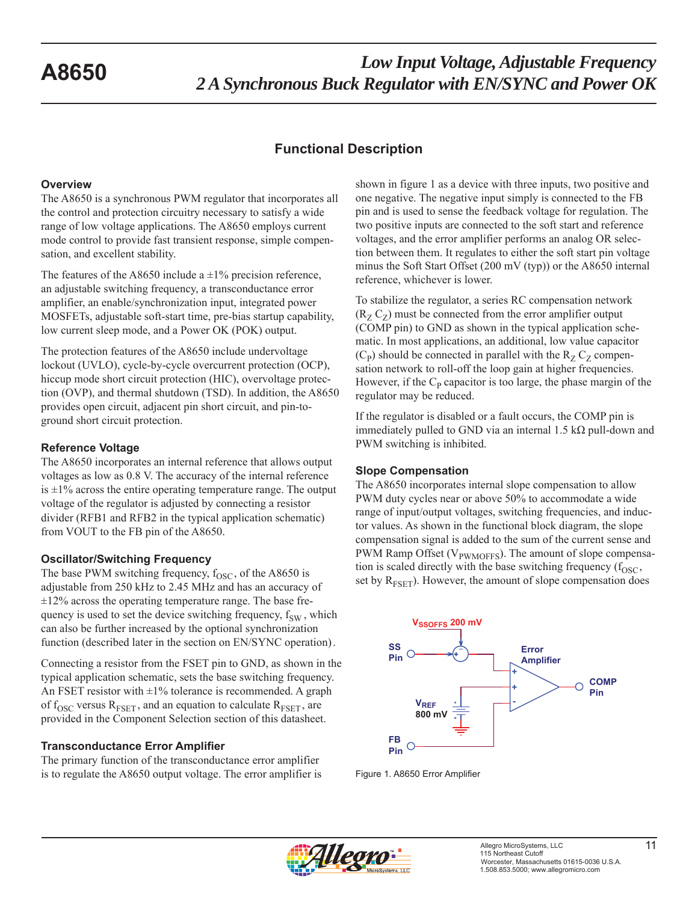## **Functional Description**

#### **Overview**

The A8650 is a synchronous PWM regulator that incorporates all the control and protection circuitry necessary to satisfy a wide range of low voltage applications. The A8650 employs current mode control to provide fast transient response, simple compensation, and excellent stability.

The features of the A8650 include a  $\pm$ 1% precision reference, an adjustable switching frequency, a transconductance error amplifier, an enable/synchronization input, integrated power MOSFETs, adjustable soft-start time, pre-bias startup capability, low current sleep mode, and a Power OK (POK) output.

The protection features of the A8650 include undervoltage lockout (UVLO), cycle-by-cycle overcurrent protection (OCP), hiccup mode short circuit protection (HIC), overvoltage protection (OVP), and thermal shutdown (TSD). In addition, the A8650 provides open circuit, adjacent pin short circuit, and pin-toground short circuit protection.

#### **Reference Voltage**

The A8650 incorporates an internal reference that allows output voltages as low as 0.8 V. The accuracy of the internal reference is  $\pm 1\%$  across the entire operating temperature range. The output voltage of the regulator is adjusted by connecting a resistor divider (RFB1 and RFB2 in the typical application schematic) from VOUT to the FB pin of the A8650.

#### **Oscillator/Switching Frequency**

The base PWM switching frequency,  $f_{\rm OSC}$ , of the A8650 is adjustable from 250 kHz to 2.45 MHz and has an accuracy of  $\pm 12\%$  across the operating temperature range. The base frequency is used to set the device switching frequency,  $f_{SW}$ , which can also be further increased by the optional synchronization function (described later in the section on EN/SYNC operation).

Connecting a resistor from the FSET pin to GND, as shown in the typical application schematic, sets the base switching frequency. An FSET resistor with  $\pm 1\%$  tolerance is recommended. A graph of  $f_{\rm OSC}$  versus  $R_{\rm FSET}$ , and an equation to calculate  $R_{\rm FSET}$ , are provided in the Component Selection section of this datasheet.

### **Transconductance Error Amplifier**

The primary function of the transconductance error amplifier is to regulate the A8650 output voltage. The error amplifier is shown in figure 1 as a device with three inputs, two positive and one negative. The negative input simply is connected to the FB pin and is used to sense the feedback voltage for regulation. The two positive inputs are connected to the soft start and reference voltages, and the error amplifier performs an analog OR selection between them. It regulates to either the soft start pin voltage minus the Soft Start Offset (200 mV (typ)) or the A8650 internal reference, whichever is lower.

To stabilize the regulator, a series RC compensation network  $(R_Z C_Z)$  must be connected from the error amplifier output (COMP pin) to GND as shown in the typical application schematic. In most applications, an additional, low value capacitor  $(C_P)$  should be connected in parallel with the  $R_Z C_Z$  compensation network to roll-off the loop gain at higher frequencies. However, if the  $C_P$  capacitor is too large, the phase margin of the regulator may be reduced.

If the regulator is disabled or a fault occurs, the COMP pin is immediately pulled to GND via an internal 1.5 kΩ pull-down and PWM switching is inhibited.

### **Slope Compensation**

The A8650 incorporates internal slope compensation to allow PWM duty cycles near or above 50% to accommodate a wide range of input/output voltages, switching frequencies, and inductor values. As shown in the functional block diagram, the slope compensation signal is added to the sum of the current sense and PWM Ramp Offset (V<sub>PWMOFFS</sub>). The amount of slope compensation is scaled directly with the base switching frequency  $(f<sub>OSC</sub>)$ , set by  $R_{FSET}$ ). However, the amount of slope compensation does



Figure 1. A8650 Error Amplifier

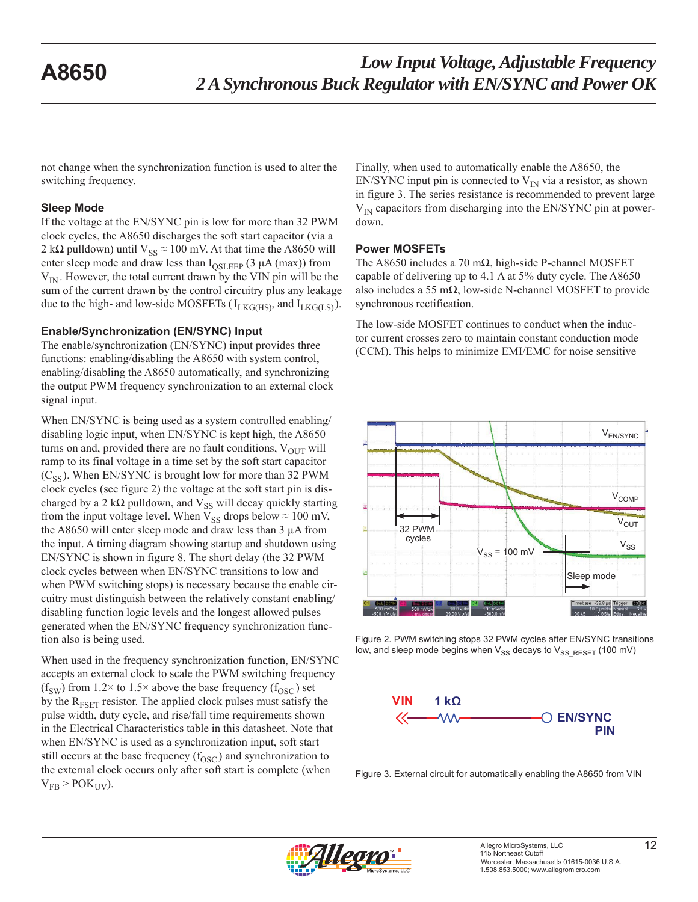not change when the synchronization function is used to alter the switching frequency.

#### **Sleep Mode**

If the voltage at the EN/SYNC pin is low for more than 32 PWM clock cycles, the A8650 discharges the soft start capacitor (via a 2 kΩ pulldown) until  $V_{SS} \approx 100$  mV. At that time the A8650 will enter sleep mode and draw less than  $I_{OSLEEP}$  (3  $\mu$ A (max)) from  $V_{IN}$ . However, the total current drawn by the VIN pin will be the sum of the current drawn by the control circuitry plus any leakage due to the high- and low-side MOSFETs ( $I_{LKG(HS)}$ ), and  $I_{LKG(LS)}$ ).

#### **Enable/Synchronization (EN/SYNC) Input**

The enable/synchronization (EN/SYNC) input provides three functions: enabling/disabling the A8650 with system control, enabling/disabling the A8650 automatically, and synchronizing the output PWM frequency synchronization to an external clock signal input.

When EN/SYNC is being used as a system controlled enabling/ disabling logic input, when EN/SYNC is kept high, the A8650 turns on and, provided there are no fault conditions,  $V_{\text{OUT}}$  will ramp to its final voltage in a time set by the soft start capacitor  $(C_{SS})$ . When EN/SYNC is brought low for more than 32 PWM clock cycles (see figure 2) the voltage at the soft start pin is discharged by a 2 k $\Omega$  pulldown, and  $V_{SS}$  will decay quickly starting from the input voltage level. When  $V_{SS}$  drops below  $\approx 100$  mV, the A8650 will enter sleep mode and draw less than 3 μA from the input. A timing diagram showing startup and shutdown using EN/SYNC is shown in figure 8. The short delay (the 32 PWM clock cycles between when EN/SYNC transitions to low and when PWM switching stops) is necessary because the enable circuitry must distinguish between the relatively constant enabling/ disabling function logic levels and the longest allowed pulses generated when the EN/SYNC frequency synchronization function also is being used.

When used in the frequency synchronization function, EN/SYNC accepts an external clock to scale the PWM switching frequency (f<sub>SW</sub>) from 1.2× to 1.5× above the base frequency (f<sub>OSC</sub>) set by the  $R_{FSET}$  resistor. The applied clock pulses must satisfy the pulse width, duty cycle, and rise/fall time requirements shown in the Electrical Characteristics table in this datasheet. Note that when EN/SYNC is used as a synchronization input, soft start still occurs at the base frequency  $(f<sub>OSC</sub>)$  and synchronization to the external clock occurs only after soft start is complete (when  $V_{FB}$  > POK<sub>UV</sub>).

Finally, when used to automatically enable the A8650, the EN/SYNC input pin is connected to  $V_{IN}$  via a resistor, as shown in figure 3. The series resistance is recommended to prevent large  $V_{IN}$  capacitors from discharging into the EN/SYNC pin at powerdown.

#### **Power MOSFETs**

The A8650 includes a 70 m $\Omega$ , high-side P-channel MOSFET capable of delivering up to 4.1 A at 5% duty cycle. The A8650 also includes a 55 m $\Omega$ , low-side N-channel MOSFET to provide synchronous rectification.

The low-side MOSFET continues to conduct when the inductor current crosses zero to maintain constant conduction mode (CCM). This helps to minimize EMI/EMC for noise sensitive



Figure 2. PWM switching stops 32 PWM cycles after EN/SYNC transitions low, and sleep mode begins when  $V_{SS}$  decays to  $V_{SS}$  RESET (100 mV)



Figure 3. External circuit for automatically enabling the A8650 from VIN

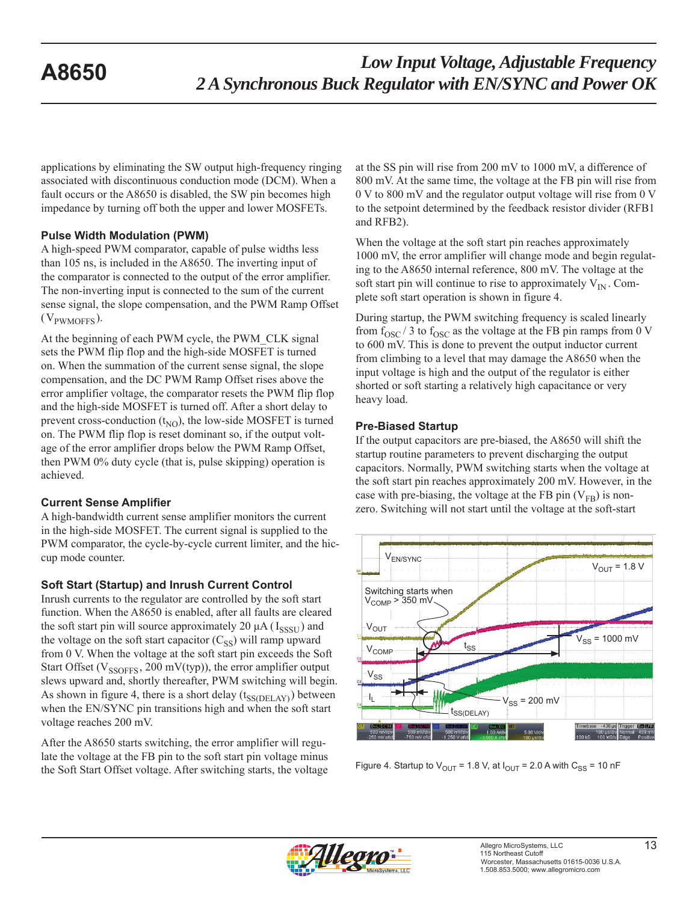applications by eliminating the SW output high-frequency ringing associated with discontinuous conduction mode (DCM). When a fault occurs or the A8650 is disabled, the SW pin becomes high impedance by turning off both the upper and lower MOSFETs.

### **Pulse Width Modulation (PWM)**

A high-speed PWM comparator, capable of pulse widths less than 105 ns, is included in the A8650. The inverting input of the comparator is connected to the output of the error amplifier. The non-inverting input is connected to the sum of the current sense signal, the slope compensation, and the PWM Ramp Offset  $(V_{PWMOFFS})$ .

At the beginning of each PWM cycle, the PWM\_CLK signal sets the PWM flip flop and the high-side MOSFET is turned on. When the summation of the current sense signal, the slope compensation, and the DC PWM Ramp Offset rises above the error amplifier voltage, the comparator resets the PWM flip flop and the high-side MOSFET is turned off. After a short delay to prevent cross-conduction  $(t_{NO})$ , the low-side MOSFET is turned on. The PWM flip flop is reset dominant so, if the output voltage of the error amplifier drops below the PWM Ramp Offset, then PWM 0% duty cycle (that is, pulse skipping) operation is achieved.

#### **Current Sense Amplifier**

A high-bandwidth current sense amplifier monitors the current in the high-side MOSFET. The current signal is supplied to the PWM comparator, the cycle-by-cycle current limiter, and the hiccup mode counter.

### **Soft Start (Startup) and Inrush Current Control**

Inrush currents to the regulator are controlled by the soft start function. When the A8650 is enabled, after all faults are cleared the soft start pin will source approximately 20  $\mu$ A ( $I_{SSSI}$ ) and the voltage on the soft start capacitor  $(C_{SS})$  will ramp upward from 0 V. When the voltage at the soft start pin exceeds the Soft Start Offset ( $V_{SSOFFS}$ , 200 mV(typ)), the error amplifier output slews upward and, shortly thereafter, PWM switching will begin. As shown in figure 4, there is a short delay  $(t_{SS(DELAY)})$  between when the EN/SYNC pin transitions high and when the soft start voltage reaches 200 mV.

After the A8650 starts switching, the error amplifier will regulate the voltage at the FB pin to the soft start pin voltage minus the Soft Start Offset voltage. After switching starts, the voltage at the SS pin will rise from 200 mV to 1000 mV, a difference of 800 mV. At the same time, the voltage at the FB pin will rise from 0 V to 800 mV and the regulator output voltage will rise from 0 V to the setpoint determined by the feedback resistor divider (RFB1 and RFB2).

When the voltage at the soft start pin reaches approximately 1000 mV, the error amplifier will change mode and begin regulating to the A8650 internal reference, 800 mV. The voltage at the soft start pin will continue to rise to approximately  $V_{IN}$ . Complete soft start operation is shown in figure 4.

During startup, the PWM switching frequency is scaled linearly from  $f_{\rm OSC}$  / 3 to  $f_{\rm OSC}$  as the voltage at the FB pin ramps from 0 V to 600 mV. This is done to prevent the output inductor current from climbing to a level that may damage the A8650 when the input voltage is high and the output of the regulator is either shorted or soft starting a relatively high capacitance or very heavy load.

### **Pre-Biased Startup**

If the output capacitors are pre-biased, the A8650 will shift the startup routine parameters to prevent discharging the output capacitors. Normally, PWM switching starts when the voltage at the soft start pin reaches approximately 200 mV. However, in the case with pre-biasing, the voltage at the FB pin  $(V_{FB})$  is nonzero. Switching will not start until the voltage at the soft-start



Figure 4. Startup to  $V_{OUT}$  = 1.8 V, at  $I_{OUT}$  = 2.0 A with  $C_{SS}$  = 10 nF

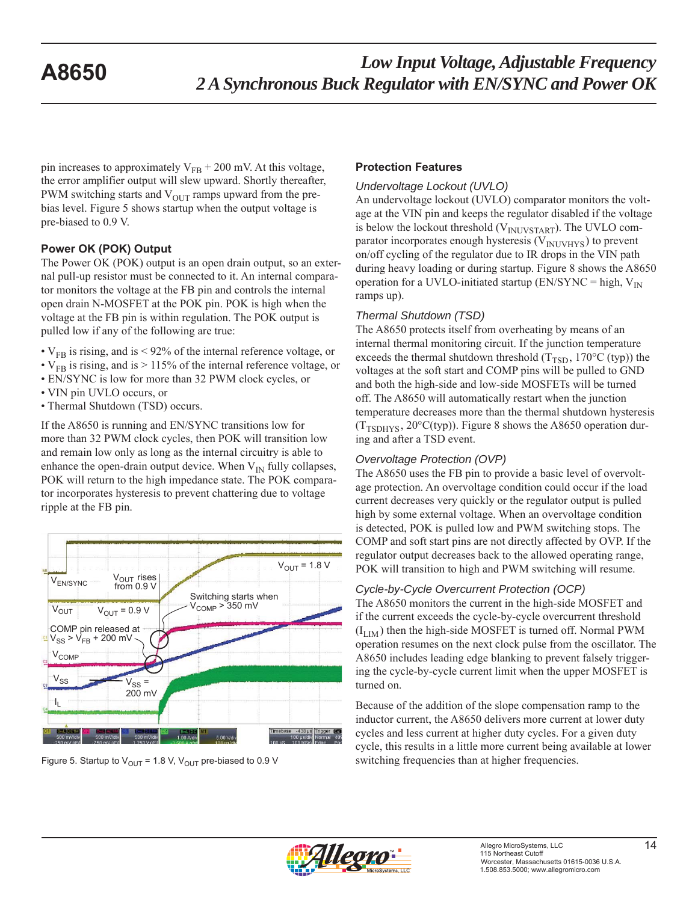pin increases to approximately  $V_{FB}$  + 200 mV. At this voltage, the error amplifier output will slew upward. Shortly thereafter, PWM switching starts and  $V_{\text{OUT}}$  ramps upward from the prebias level. Figure 5 shows startup when the output voltage is pre-biased to 0.9 V.

#### **Power OK (POK) Output**

The Power OK (POK) output is an open drain output, so an external pull-up resistor must be connected to it. An internal comparator monitors the voltage at the FB pin and controls the internal open drain N-MOSFET at the POK pin. POK is high when the voltage at the FB pin is within regulation. The POK output is pulled low if any of the following are true:

- $V_{FB}$  is rising, and is < 92% of the internal reference voltage, or
- $V_{FB}$  is rising, and is > 115% of the internal reference voltage, or
- EN/SYNC is low for more than 32 PWM clock cycles, or
- VIN pin UVLO occurs, or
- Thermal Shutdown (TSD) occurs.

If the A8650 is running and EN/SYNC transitions low for more than 32 PWM clock cycles, then POK will transition low and remain low only as long as the internal circuitry is able to enhance the open-drain output device. When  $V_{IN}$  fully collapses, POK will return to the high impedance state. The POK comparator incorporates hysteresis to prevent chattering due to voltage ripple at the FB pin.



#### **Protection Features**

#### *Undervoltage Lockout (UVLO)*

An undervoltage lockout (UVLO) comparator monitors the voltage at the VIN pin and keeps the regulator disabled if the voltage is below the lockout threshold  $(V_{\text{INUVSTART}})$ . The UVLO comparator incorporates enough hysteresis  $(V_{\text{INUVHYS}})$  to prevent on/off cycling of the regulator due to IR drops in the VIN path during heavy loading or during startup. Figure 8 shows the A8650 operation for a UVLO-initiated startup (EN/SYNC = high,  $V_{IN}$ ) ramps up).

#### *Thermal Shutdown (TSD)*

The A8650 protects itself from overheating by means of an internal thermal monitoring circuit. If the junction temperature exceeds the thermal shutdown threshold  $(T_{\text{TSD}})$ , 170°C (typ)) the voltages at the soft start and COMP pins will be pulled to GND and both the high-side and low-side MOSFETs will be turned off. The A8650 will automatically restart when the junction temperature decreases more than the thermal shutdown hysteresis  $(T_{TSDHYS}, 20^{\circ}C(typ))$ . Figure 8 shows the A8650 operation during and after a TSD event.

### *Overvoltage Protection (OVP)*

The A8650 uses the FB pin to provide a basic level of overvoltage protection. An overvoltage condition could occur if the load current decreases very quickly or the regulator output is pulled high by some external voltage. When an overvoltage condition is detected, POK is pulled low and PWM switching stops. The COMP and soft start pins are not directly affected by OVP. If the regulator output decreases back to the allowed operating range, POK will transition to high and PWM switching will resume.

### *Cycle-by-Cycle Overcurrent Protection (OCP)*

The A8650 monitors the current in the high-side MOSFET and if the current exceeds the cycle-by-cycle overcurrent threshold  $(I_{LIM})$  then the high-side MOSFET is turned off. Normal PWM operation resumes on the next clock pulse from the oscillator. The A8650 includes leading edge blanking to prevent falsely triggering the cycle-by-cycle current limit when the upper MOSFET is turned on.

Because of the addition of the slope compensation ramp to the inductor current, the A8650 delivers more current at lower duty cycles and less current at higher duty cycles. For a given duty cycle, this results in a little more current being available at lower Figure 5. Startup to  $V_{OUT}$  = 1.8 V,  $V_{OUT}$  pre-biased to 0.9 V switching frequencies than at higher frequencies.

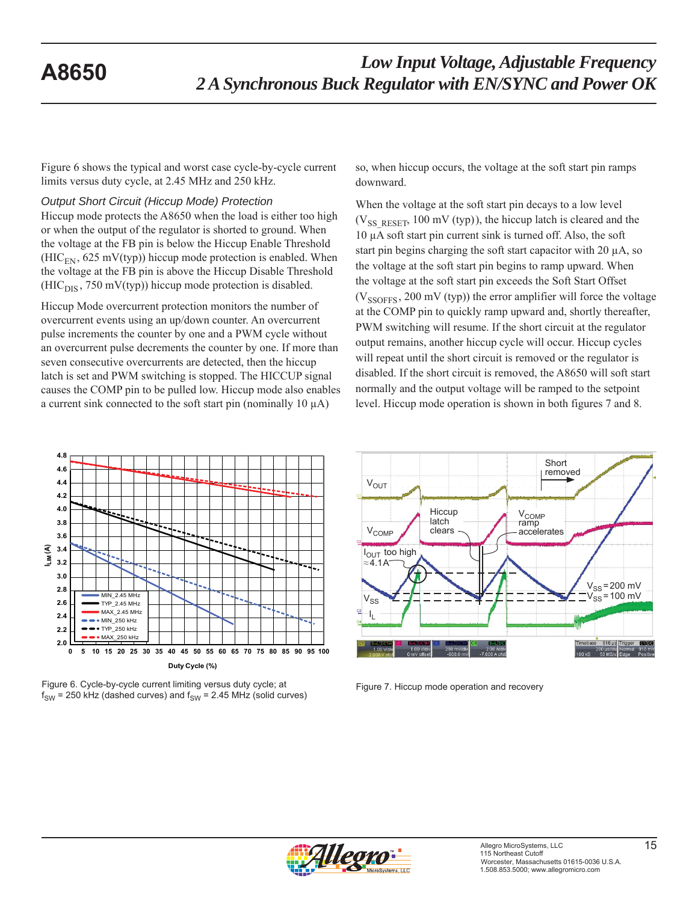Figure 6 shows the typical and worst case cycle-by-cycle current limits versus duty cycle, at 2.45 MHz and 250 kHz.

#### *Output Short Circuit (Hiccup Mode) Protection*

Hiccup mode protects the A8650 when the load is either too high or when the output of the regulator is shorted to ground. When the voltage at the FB pin is below the Hiccup Enable Threshold  $(HIC_{EN}, 625 \text{ mV(typ)})$  hiccup mode protection is enabled. When the voltage at the FB pin is above the Hiccup Disable Threshold  $(HIC<sub>DIS</sub>, 750 mV(typ))$  hiccup mode protection is disabled.

Hiccup Mode overcurrent protection monitors the number of overcurrent events using an up/down counter. An overcurrent pulse increments the counter by one and a PWM cycle without an overcurrent pulse decrements the counter by one. If more than seven consecutive overcurrents are detected, then the hiccup latch is set and PWM switching is stopped. The HICCUP signal causes the COMP pin to be pulled low. Hiccup mode also enables a current sink connected to the soft start pin (nominally 10 μA)

so, when hiccup occurs, the voltage at the soft start pin ramps downward.

When the voltage at the soft start pin decays to a low level  $(V_{SS<sub>RESET</sub>, 100<sub>mv</sub> (typ))$ , the hiccup latch is cleared and the 10 μA soft start pin current sink is turned off. Also, the soft start pin begins charging the soft start capacitor with 20 μA, so the voltage at the soft start pin begins to ramp upward. When the voltage at the soft start pin exceeds the Soft Start Offset  $(V_{\text{SSOFFS}}, 200 \text{ mV (typ)})$  the error amplifier will force the voltage at the COMP pin to quickly ramp upward and, shortly thereafter, PWM switching will resume. If the short circuit at the regulator output remains, another hiccup cycle will occur. Hiccup cycles will repeat until the short circuit is removed or the regulator is disabled. If the short circuit is removed, the A8650 will soft start normally and the output voltage will be ramped to the setpoint level. Hiccup mode operation is shown in both figures 7 and 8.



Figure 6. Cycle-by-cycle current limiting versus duty cycle; at  $f_{SW}$  = 250 kHz (dashed curves) and  $f_{SW}$  = 2.45 MHz (solid curves)



Figure 7. Hiccup mode operation and recovery

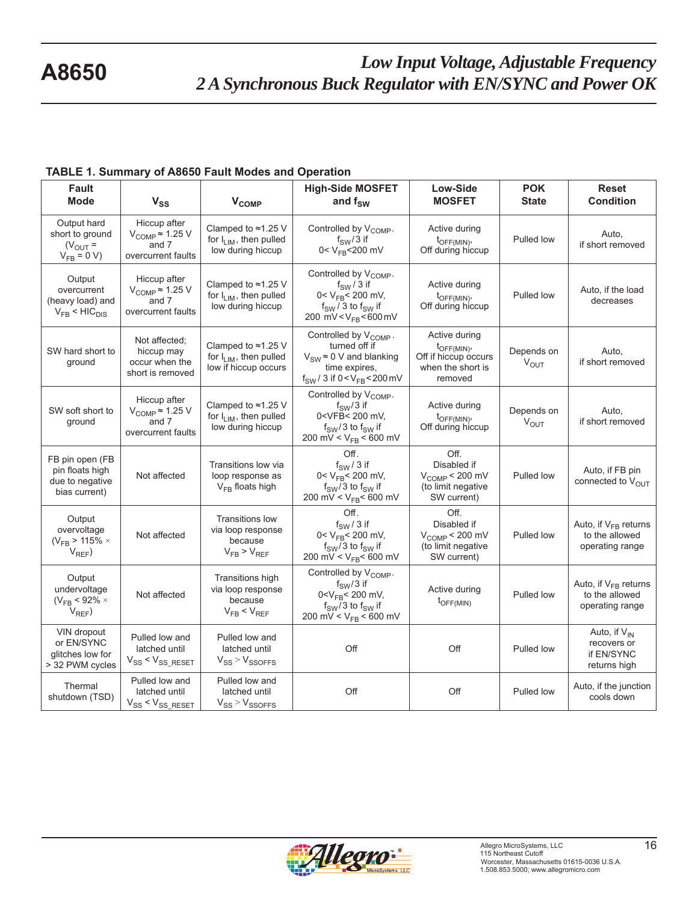| Fault<br><b>Mode</b>                                                    | $V_{SS}$                                                                                | $V_{COMP}$                                                                         | <b>High-Side MOSFET</b><br>and $f_{SW}$                                                                                                                                               | Low-Side<br><b>MOSFET</b>                                                                      | <b>POK</b><br><b>State</b> | <b>Reset</b><br><b>Condition</b>                               |
|-------------------------------------------------------------------------|-----------------------------------------------------------------------------------------|------------------------------------------------------------------------------------|---------------------------------------------------------------------------------------------------------------------------------------------------------------------------------------|------------------------------------------------------------------------------------------------|----------------------------|----------------------------------------------------------------|
| Output hard<br>short to ground<br>$(V_{\text{OUT}} =$<br>$V_{FB} = 0 V$ | Hiccup after<br>$V_{\text{COMP}} \approx 1.25 \text{ V}$<br>and 7<br>overcurrent faults | Clamped to $\approx$ 1.25 V<br>for $I_{LIM}$ , then pulled<br>low during hiccup    | Controlled by V <sub>COMP</sub> .<br>$f_{SW}/3$ if<br>0< $V_{FB}$ <200 mV                                                                                                             | Active during<br>$t_{\text{OFF(MIN)}}$<br>Off during hiccup                                    | Pulled low                 | Auto,<br>if short removed                                      |
| Output<br>overcurrent<br>(heavy load) and<br>$V_{FB}$ < $HIC_{DIS}$     | Hiccup after<br>$V_{\text{COMP}} \approx 1.25 \text{ V}$<br>and 7<br>overcurrent faults | Clamped to $\approx$ 1.25 V<br>for $I_{LIM}$ , then pulled<br>low during hiccup    | Controlled by V <sub>COMP</sub> .<br>$f_{SW}/3$ if<br>$0 < V_{FB} < 200$ mV,<br>$f_{SW}$ / 3 to $f_{SW}$ if<br>200 mV < $V_{FB}$ < 600 mV                                             | Active during<br>$t_{\text{OFF(MIN)}}$<br>Off during hiccup                                    | Pulled low                 | Auto, if the load<br>decreases                                 |
| SW hard short to<br>ground                                              | Not affected;<br>hiccup may<br>occur when the<br>short is removed                       | Clamped to $\approx$ 1.25 V<br>for $I_{LIM}$ , then pulled<br>low if hiccup occurs | Controlled by V <sub>COMP</sub> .<br>turned off if<br>$V_{SW} \approx 0$ V and blanking<br>time expires,<br>$f_{SW}$ / 3 if 0 < $V_{FB}$ < 200 mV                                     | Active during<br>$t_{\text{OFF(MIN)}}$<br>Off if hiccup occurs<br>when the short is<br>removed | Depends on<br>$V_{OUT}$    | Auto,<br>if short removed                                      |
| SW soft short to<br>ground                                              | Hiccup after<br>$V_{\text{COMP}} \approx 1.25 \text{ V}$<br>and 7<br>overcurrent faults | Clamped to ≈1.25 V<br>for $I_{LIM}$ , then pulled<br>low during hiccup             | Controlled by V <sub>COMP</sub> .<br>$f_{SW}/3$ if<br>0 <vfb< 200="" mv,<br=""><math>f_{SW}/3</math> to <math>f_{SW}</math> if<br/>200 mV &lt; <math>V_{FB}</math> &lt; 600 mV</vfb<> | Active during<br>$t_{\text{OFF(MIN)}}$<br>Off during hiccup                                    | Depends on<br>$V_{OUT}$    | Auto,<br>if short removed                                      |
| FB pin open (FB<br>pin floats high<br>due to negative<br>bias current)  | Not affected                                                                            | Transitions low via<br>loop response as<br>$V_{FB}$ floats high                    | Off.<br>$f_{SW}/3$ if<br>$0 < V_{FB} < 200$ mV,<br>$f_{SW}/3$ to $f_{SW}$ if<br>200 mV < $V_{FB}$ < 600 mV                                                                            | Off.<br>Disabled if<br>$VCOMP < 200$ mV<br>(to limit negative<br>SW current)                   | Pulled low                 | Auto, if FB pin<br>connected to $V_{\text{OUT}}$               |
| Output<br>overvoltage<br>( $V_{FB}$ > 115% $\times$<br>$V_{REF}$ )      | Not affected                                                                            | <b>Transitions low</b><br>via loop response<br>because<br>$V_{FB}$ > $V_{REF}$     | Off.<br>$f_{SW}/3$ if<br>$0 < V_{FB} < 200$ mV,<br>$f_{SW}/3$ to $f_{SW}$ if<br>200 mV < $V_{FB}$ < 600 mV                                                                            | Off.<br>Disabled if<br>$V_{\text{COMP}}$ < 200 mV<br>(to limit negative<br>SW current)         | Pulled low                 | Auto, if $V_{FB}$ returns<br>to the allowed<br>operating range |
| Output<br>undervoltage<br>( $V_{FB}$ < 92% $\times$<br>$V_{REF}$ )      | Not affected                                                                            | Transitions high<br>via loop response<br>because<br>$V_{FB}$ < $V_{REF}$           | Controlled by V <sub>COMP</sub> .<br>$f_{SW}/3$ if<br>$0 < V_{FB} < 200$ mV,<br>$f_{SW}/3$ to $f_{SW}$ if<br>200 mV < $V_{FB}$ < 600 mV                                               | Active during<br>$t_{\text{OFF(MIN)}}$                                                         | Pulled low                 | Auto, if $V_{FB}$ returns<br>to the allowed<br>operating range |
| VIN dropout<br>or EN/SYNC<br>glitches low for<br>> 32 PWM cycles        | Pulled low and<br>latched until<br>$V_{SS}$ < $V_{SS\_RESET}$                           | Pulled low and<br>latched until<br>$V_{SS}$ > $V_{SSOFFS}$                         | Off                                                                                                                                                                                   | Off                                                                                            | Pulled low                 | Auto, if $V_{IN}$<br>recovers or<br>if EN/SYNC<br>returns high |
| Thermal<br>shutdown (TSD)                                               | Pulled low and<br>latched until<br>$V_{SS}$ < $V_{SS\_RESET}$                           | Pulled low and<br>latched until<br>$V_{SS}$ > $V_{SSOFFS}$                         | Off                                                                                                                                                                                   | Off                                                                                            | Pulled low                 | Auto, if the junction<br>cools down                            |

#### **TABLE 1. Summary of A8650 Fault Modes and Operation**

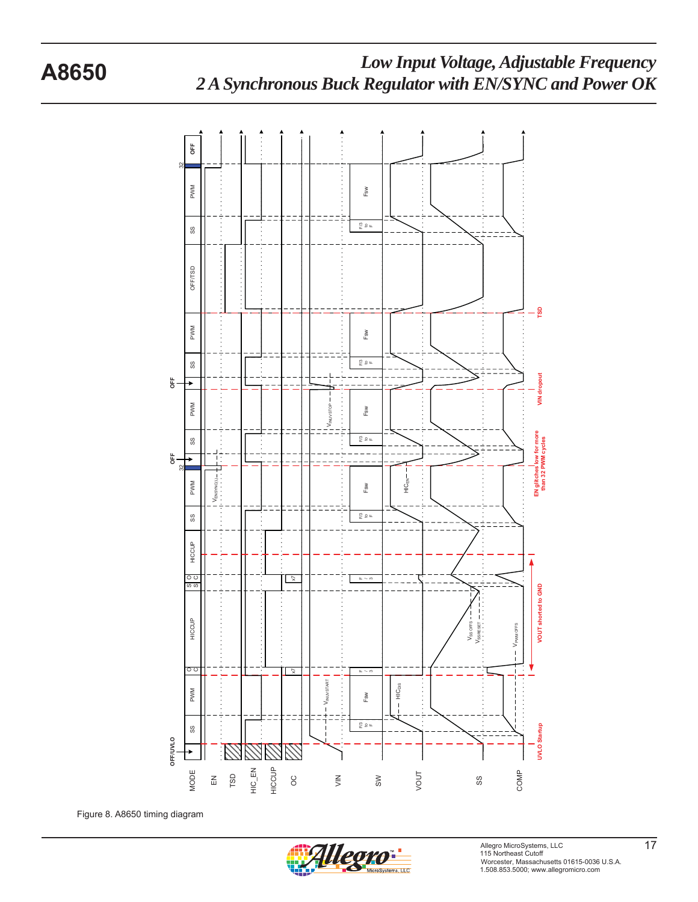

Figure 8. A8650 timing diagram

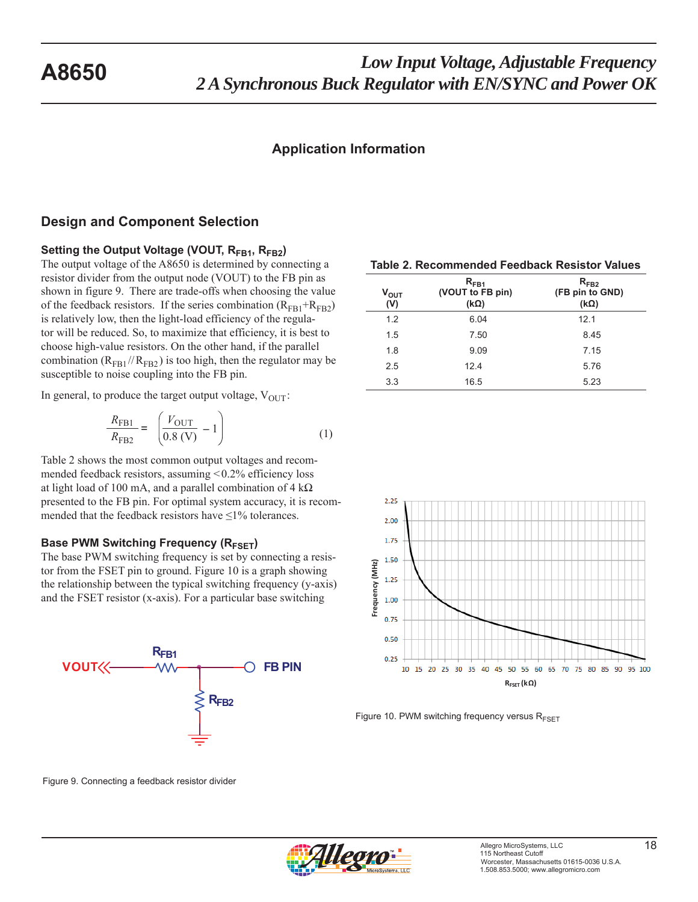### **Application Information**

#### **Design and Component Selection**

Setting the Output Voltage (VOUT, R<sub>FB1</sub>, R<sub>FB2</sub>)

The output voltage of the A8650 is determined by connecting a resistor divider from the output node (VOUT) to the FB pin as shown in figure 9. There are trade-offs when choosing the value of the feedback resistors. If the series combination  $(R<sub>FB1</sub>+R<sub>FB2</sub>)$ is relatively low, then the light-load efficiency of the regulator will be reduced. So, to maximize that efficiency, it is best to choose high-value resistors. On the other hand, if the parallel combination ( $R_{FB1}//R_{FB2}$ ) is too high, then the regulator may be susceptible to noise coupling into the FB pin.

In general, to produce the target output voltage,  $V_{\text{OUT}}$ :

$$
\frac{R_{\text{FB1}}}{R_{\text{FB2}}} = \left(\frac{V_{\text{OUT}}}{0.8 \text{ (V)}} - 1\right) \tag{1}
$$

Table 2 shows the most common output voltages and recommended feedback resistors, assuming < 0.2% efficiency loss at light load of 100 mA, and a parallel combination of  $4 \text{ k}\Omega$ presented to the FB pin. For optimal system accuracy, it is recommended that the feedback resistors have  $\leq$ 1% tolerances.

#### **Base PWM Switching Frequency (R<sub>FSFT</sub>)**

The base PWM switching frequency is set by connecting a resistor from the FSET pin to ground. Figure 10 is a graph showing the relationship between the typical switching frequency (y-axis) and the FSET resistor (x-axis). For a particular base switching



**Table 2. Recommended Feedback Resistor Values**

| Ѵ <sub>оит</sub><br>(V) | $R_{FR1}$<br>(VOUT to FB pin)<br>$(k\Omega)$ | $R_{FB2}$<br>(FB pin to GND)<br>$(k\Omega)$ |
|-------------------------|----------------------------------------------|---------------------------------------------|
| 1.2                     | 6.04                                         | 12.1                                        |
| 1.5                     | 7.50                                         | 8.45                                        |
| 1.8                     | 9.09                                         | 7.15                                        |
| 2.5                     | 12.4                                         | 5.76                                        |
| 3.3                     | 16.5                                         | 5.23                                        |



Figure 10. PWM switching frequency versus  $R_{FSET}$ 

Figure 9. Connecting a feedback resistor divider

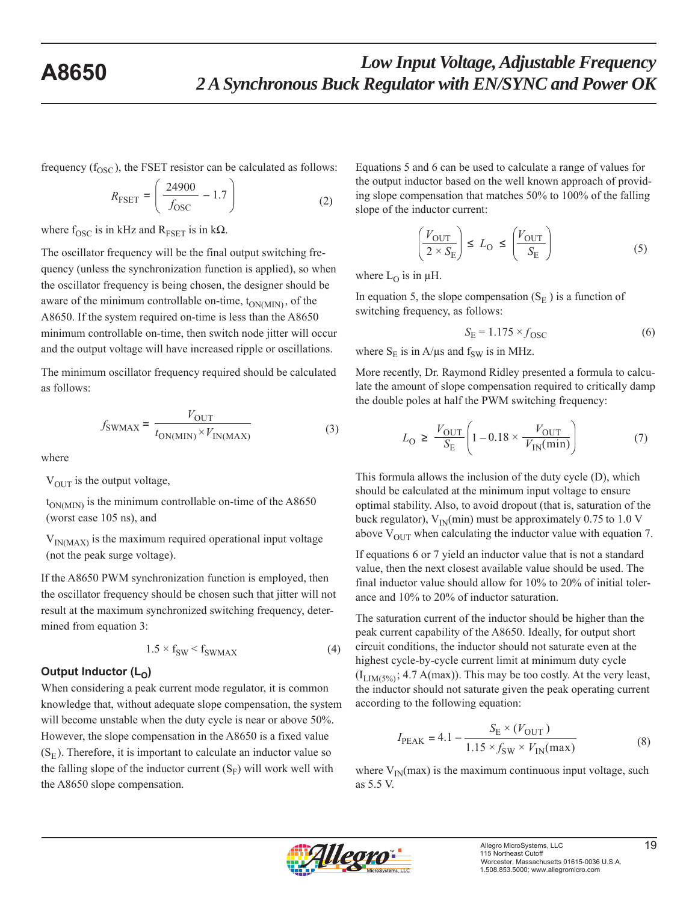frequency  $(f<sub>OSC</sub>)$ , the FSET resistor can be calculated as follows:

$$
R_{\text{FSET}} = \left(\frac{24900}{f_{\text{OSC}}} - 1.7\right) \tag{2}
$$

where  $f_{\rm OSC}$  is in kHz and  $R_{\rm FSET}$  is in k $\Omega$ .

The oscillator frequency will be the final output switching frequency (unless the synchronization function is applied), so when the oscillator frequency is being chosen, the designer should be aware of the minimum controllable on-time,  $t_{ON(MIN)}$ , of the A8650. If the system required on-time is less than the A8650 minimum controllable on-time, then switch node jitter will occur and the output voltage will have increased ripple or oscillations.

The minimum oscillator frequency required should be calculated as follows:

$$
f_{\text{SWMAX}} = \frac{V_{\text{OUT}}}{t_{\text{ON(MIN)}} \times V_{\text{IN(MAX)}}}
$$
(3)

where

 $V_{\text{OUT}}$  is the output voltage,

 $t_{ON(MIN)}$  is the minimum controllable on-time of the A8650 (worst case 105 ns), and

 $V_{IN(MAX)}$  is the maximum required operational input voltage (not the peak surge voltage).

If the A8650 PWM synchronization function is employed, then the oscillator frequency should be chosen such that jitter will not result at the maximum synchronized switching frequency, determined from equation 3:

$$
1.5 \times f_{SW} < f_{SWMAX} \tag{4}
$$

#### Output Inductor  $(L_0)$

When considering a peak current mode regulator, it is common knowledge that, without adequate slope compensation, the system will become unstable when the duty cycle is near or above 50%. However, the slope compensation in the A8650 is a fixed value  $(S<sub>E</sub>)$ . Therefore, it is important to calculate an inductor value so the falling slope of the inductor current  $(S_F)$  will work well with the A8650 slope compensation.

Equations 5 and 6 can be used to calculate a range of values for the output inductor based on the well known approach of providing slope compensation that matches 50% to 100% of the falling slope of the inductor current:

$$
\left(\frac{V_{\text{OUT}}}{2 \times S_{\text{E}}}\right) \le L_{\text{O}} \le \left(\frac{V_{\text{OUT}}}{S_{\text{E}}}\right) \tag{5}
$$

where  $L<sub>O</sub>$  is in  $\mu$ H.

In equation 5, the slope compensation  $(S<sub>E</sub>)$  is a function of switching frequency, as follows:

$$
S_{\rm E} = 1.175 \times f_{\rm OSC} \tag{6}
$$

where  $S_E$  is in A/μs and  $f_{SW}$  is in MHz.

More recently, Dr. Raymond Ridley presented a formula to calculate the amount of slope compensation required to critically damp the double poles at half the PWM switching frequency:

$$
L_{\rm O} \ge \frac{V_{\rm OUT}}{S_{\rm E}} \left( 1 - 0.18 \times \frac{V_{\rm OUT}}{V_{\rm IN}(\rm min)} \right) \tag{7}
$$

This formula allows the inclusion of the duty cycle (D), which should be calculated at the minimum input voltage to ensure optimal stability. Also, to avoid dropout (that is, saturation of the buck regulator),  $V_{IN}(min)$  must be approximately 0.75 to 1.0 V above  $V_{\text{OUT}}$  when calculating the inductor value with equation 7.

If equations 6 or 7 yield an inductor value that is not a standard value, then the next closest available value should be used. The final inductor value should allow for 10% to 20% of initial tolerance and 10% to 20% of inductor saturation.

The saturation current of the inductor should be higher than the peak current capability of the A8650. Ideally, for output short circuit conditions, the inductor should not saturate even at the highest cycle-by-cycle current limit at minimum duty cycle  $(I_{LIM(5\%)}; 4.7 A(max)$ . This may be too costly. At the very least, the inductor should not saturate given the peak operating current according to the following equation:

$$
I_{\text{PEAK}} = 4.1 - \frac{S_{\text{E}} \times (V_{\text{OUT}})}{1.15 \times f_{\text{SW}} \times V_{\text{IN}}(\text{max})}
$$
(8)

where  $V_{\text{IN}}(\text{max})$  is the maximum continuous input voltage, such as 5.5 V.

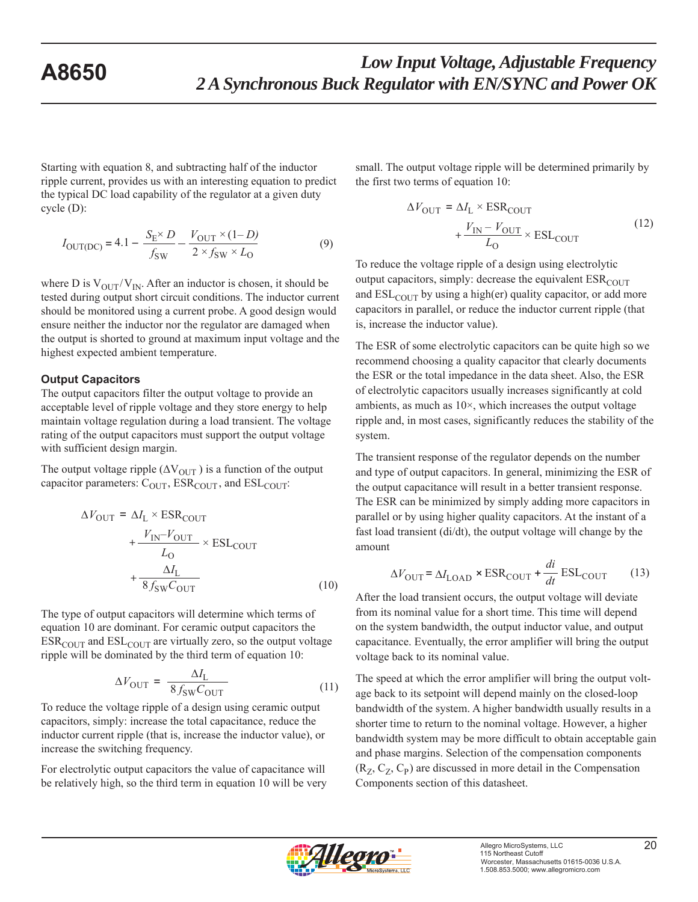Starting with equation 8, and subtracting half of the inductor ripple current, provides us with an interesting equation to predict the typical DC load capability of the regulator at a given duty cycle (D):

$$
I_{\text{OUT(DC)}} = 4.1 - \frac{S_{\text{E}} \times D}{f_{\text{SW}}} - \frac{V_{\text{OUT}} \times (1 - D)}{2 \times f_{\text{SW}} \times L_{\text{O}}}
$$
(9)

where D is  $V_{\text{OUT}}/V_{\text{IN}}$ . After an inductor is chosen, it should be tested during output short circuit conditions. The inductor current should be monitored using a current probe. A good design would ensure neither the inductor nor the regulator are damaged when the output is shorted to ground at maximum input voltage and the highest expected ambient temperature.

#### **Output Capacitors**

The output capacitors filter the output voltage to provide an acceptable level of ripple voltage and they store energy to help maintain voltage regulation during a load transient. The voltage rating of the output capacitors must support the output voltage with sufficient design margin.

The output voltage ripple  $(\Delta V_{\text{OUT}})$  is a function of the output capacitor parameters:  $C_{OUT}$ ,  $ESR_{COUT}$ , and  $ESL_{COUT}$ :

$$
\Delta V_{\text{OUT}} = \Delta I_{\text{L}} \times \text{ESR}_{\text{COUT}} + \frac{V_{\text{IN}} - V_{\text{OUT}}}{L_{\text{O}}} \times \text{ESL}_{\text{COUT}} + \frac{\Delta I_{\text{L}}}{8 f_{\text{SW}} C_{\text{OUT}}} \tag{10}
$$

The type of output capacitors will determine which terms of equation 10 are dominant. For ceramic output capacitors the  $ESR_{\text{COUT}}$  and  $ESL_{\text{COUT}}$  are virtually zero, so the output voltage ripple will be dominated by the third term of equation 10:

$$
\Delta V_{\text{OUT}} = \frac{\Delta I_{\text{L}}}{8 f_{\text{SW}} C_{\text{OUT}}}
$$
\n(11)

To reduce the voltage ripple of a design using ceramic output capacitors, simply: increase the total capacitance, reduce the inductor current ripple (that is, increase the inductor value), or increase the switching frequency.

For electrolytic output capacitors the value of capacitance will be relatively high, so the third term in equation 10 will be very small. The output voltage ripple will be determined primarily by the first two terms of equation 10:

$$
\Delta V_{\text{OUT}} = \Delta I_{\text{L}} \times \text{ESR}_{\text{COUT}} + \frac{V_{\text{IN}} - V_{\text{OUT}}}{L_{\text{O}}} \times \text{ESL}_{\text{COUT}} \tag{12}
$$

To reduce the voltage ripple of a design using electrolytic output capacitors, simply: decrease the equivalent  $ESR_{\text{COUT}}$ and  $\text{ESL}_{\text{COUT}}$  by using a high(er) quality capacitor, or add more capacitors in parallel, or reduce the inductor current ripple (that is, increase the inductor value).

The ESR of some electrolytic capacitors can be quite high so we recommend choosing a quality capacitor that clearly documents the ESR or the total impedance in the data sheet. Also, the ESR of electrolytic capacitors usually increases significantly at cold ambients, as much as  $10\times$ , which increases the output voltage ripple and, in most cases, significantly reduces the stability of the system.

The transient response of the regulator depends on the number and type of output capacitors. In general, minimizing the ESR of the output capacitance will result in a better transient response. The ESR can be minimized by simply adding more capacitors in parallel or by using higher quality capacitors. At the instant of a fast load transient (di/dt), the output voltage will change by the amount

$$
\Delta V_{\text{OUT}} = \Delta I_{\text{LOAD}} \times \text{ESR}_{\text{COUT}} + \frac{di}{dt} \text{ESL}_{\text{COUT}} \tag{13}
$$

After the load transient occurs, the output voltage will deviate from its nominal value for a short time. This time will depend on the system bandwidth, the output inductor value, and output capacitance. Eventually, the error amplifier will bring the output voltage back to its nominal value.

The speed at which the error amplifier will bring the output voltage back to its setpoint will depend mainly on the closed-loop bandwidth of the system. A higher bandwidth usually results in a shorter time to return to the nominal voltage. However, a higher bandwidth system may be more difficult to obtain acceptable gain and phase margins. Selection of the compensation components  $(R_Z, C_Z, C_P)$  are discussed in more detail in the Compensation Components section of this datasheet.

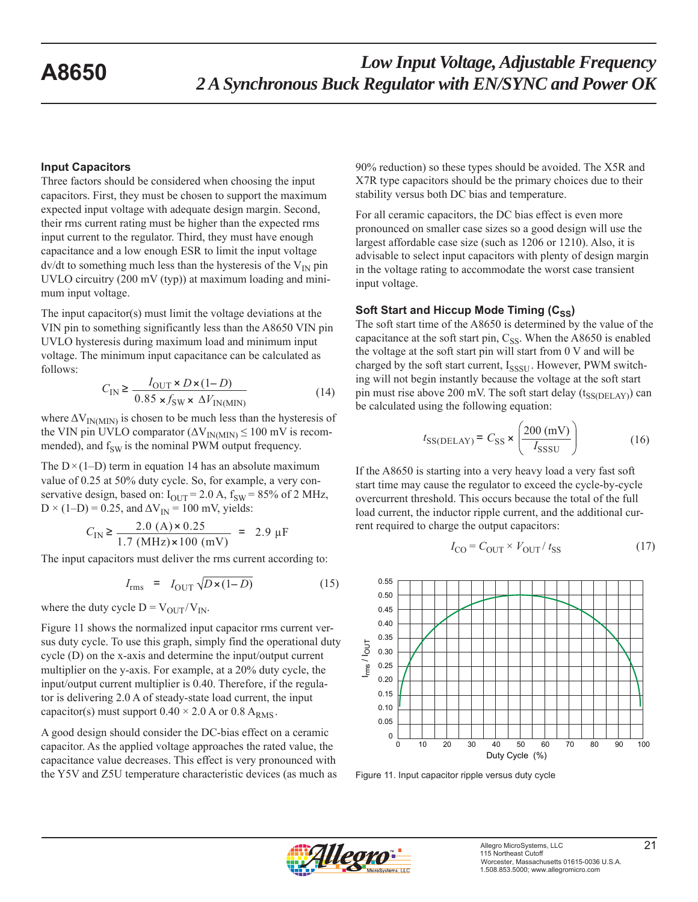#### **Input Capacitors**

Three factors should be considered when choosing the input capacitors. First, they must be chosen to support the maximum expected input voltage with adequate design margin. Second, their rms current rating must be higher than the expected rms input current to the regulator. Third, they must have enough capacitance and a low enough ESR to limit the input voltage  $dv/dt$  to something much less than the hysteresis of the  $V_{IN}$  pin UVLO circuitry (200 mV (typ)) at maximum loading and minimum input voltage.

The input capacitor(s) must limit the voltage deviations at the VIN pin to something significantly less than the A8650 VIN pin UVLO hysteresis during maximum load and minimum input voltage. The minimum input capacitance can be calculated as follows:

$$
C_{\text{IN}} \ge \frac{I_{\text{OUT}} \times D \times (1 - D)}{0.85 \times f_{\text{SW}} \times \Delta V_{\text{IN(MIN)}}}
$$
(14)

where  $\Delta V_{IN(MIN)}$  is chosen to be much less than the hysteresis of the VIN pin UVLO comparator ( $\Delta V_{IN(MIN)} \le 100$  mV is recommended), and  $f_{SW}$  is the nominal PWM output frequency.

The  $D \times (1-D)$  term in equation 14 has an absolute maximum value of 0.25 at 50% duty cycle. So, for example, a very conservative design, based on:  $I_{\text{OUT}}$  = 2.0 A,  $f_{\text{SW}}$  = 85% of 2 MHz,  $D \times (1-D) = 0.25$ , and  $\Delta V_{IN} = 100$  mV, yields:

$$
C_{\text{IN}} \ge \frac{2.0 \text{ (A)} \times 0.25}{1.7 \text{ (MHz)} \times 100 \text{ (mV)}} = 2.9 \text{ }\mu\text{F}
$$

The input capacitors must deliver the rms current according to:

$$
I_{\rm rms} = I_{\rm OUT} \sqrt{D \times (1 - D)} \tag{15}
$$

where the duty cycle  $D = V_{\text{OUT}}/V_{\text{IN}}$ .

Figure 11 shows the normalized input capacitor rms current versus duty cycle. To use this graph, simply find the operational duty cycle (D) on the x-axis and determine the input/output current multiplier on the y-axis. For example, at a 20% duty cycle, the input/output current multiplier is 0.40. Therefore, if the regulator is delivering 2.0 A of steady-state load current, the input capacitor(s) must support  $0.40 \times 2.0$  A or  $0.8$  A<sub>RMS</sub>.

A good design should consider the DC-bias effect on a ceramic capacitor. As the applied voltage approaches the rated value, the capacitance value decreases. This effect is very pronounced with the Y5V and Z5U temperature characteristic devices (as much as 90% reduction) so these types should be avoided. The X5R and X7R type capacitors should be the primary choices due to their stability versus both DC bias and temperature.

For all ceramic capacitors, the DC bias effect is even more pronounced on smaller case sizes so a good design will use the largest affordable case size (such as 1206 or 1210). Also, it is advisable to select input capacitors with plenty of design margin in the voltage rating to accommodate the worst case transient input voltage.

### **Soft Start and Hiccup Mode Timing (C<sub>SS</sub>)**

The soft start time of the A8650 is determined by the value of the capacitance at the soft start pin,  $C_{SS}$ . When the A8650 is enabled the voltage at the soft start pin will start from 0 V and will be charged by the soft start current,  $I_{SSSTI}$ . However, PWM switching will not begin instantly because the voltage at the soft start pin must rise above 200 mV. The soft start delay  $(t_{SSDELAY})$  can be calculated using the following equation:

$$
t_{\text{SS}(DELAY)} = C_{\text{SS}} \times \left(\frac{200 \text{ (mV)}}{I_{\text{SSSU}}}\right) \tag{16}
$$

If the A8650 is starting into a very heavy load a very fast soft start time may cause the regulator to exceed the cycle-by-cycle overcurrent threshold. This occurs because the total of the full load current, the inductor ripple current, and the additional current required to charge the output capacitors:

$$
I_{\rm CO} = C_{\rm OUT} \times V_{\rm OUT} / t_{\rm SS}
$$
 (17)



Figure 11. Input capacitor ripple versus duty cycle

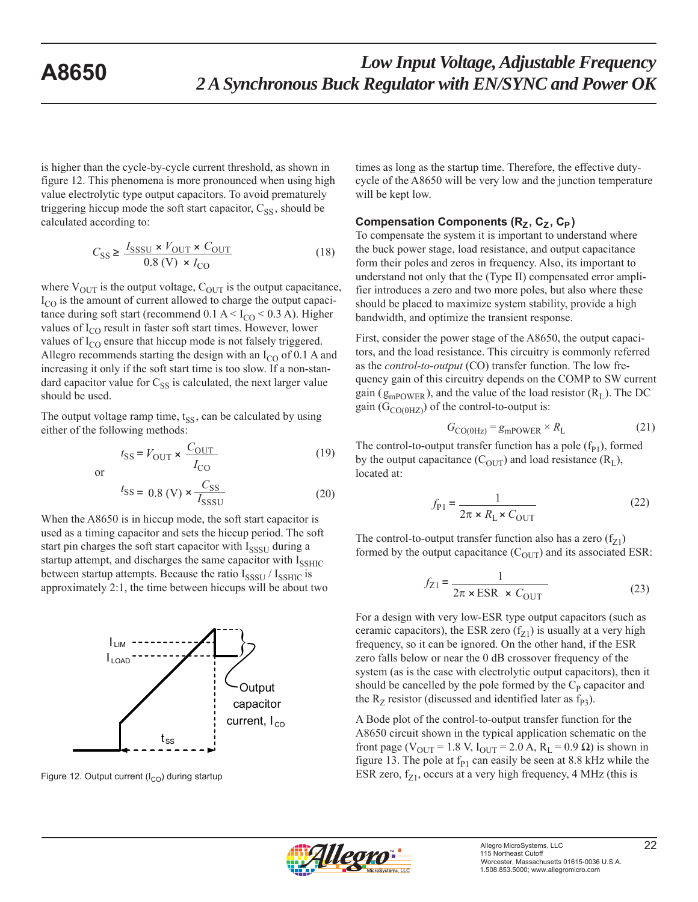is higher than the cycle-by-cycle current threshold, as shown in figure 12. This phenomena is more pronounced when using high value electrolytic type output capacitors. To avoid prematurely triggering hiccup mode the soft start capacitor,  $C_{SS}$ , should be calculated according to:

$$
C_{\text{SS}} \ge \frac{I_{\text{SSSU}} \times V_{\text{OUT}} \times C_{\text{OUT}}}{0.8 \text{ (V)} \times I_{\text{CO}}}
$$
(18)

where  $V_{\text{OUT}}$  is the output voltage,  $C_{\text{OUT}}$  is the output capacitance,  $I_{\rm CO}$  is the amount of current allowed to charge the output capacitance during soft start (recommend  $0.1 \text{ A} < I_{CO} < 0.3 \text{ A}$ ). Higher values of  $I_{\rm CO}$  result in faster soft start times. However, lower values of  $I_{\rm CO}$  ensure that hiccup mode is not falsely triggered. Allegro recommends starting the design with an  $I_{CO}$  of 0.1 A and increasing it only if the soft start time is too slow. If a non-standard capacitor value for  $C_{SS}$  is calculated, the next larger value should be used.

The output voltage ramp time,  $t_{SS}$ , can be calculated by using either of the following methods:

$$
t_{\rm SS} = V_{\rm OUT} \times \frac{C_{\rm OUT}}{I_{\rm CO}}
$$
 (19)

or

$$
t_{\rm SS} = 0.8 \text{ (V)} \times \frac{C_{\rm SS}}{I_{\rm SSSU}} \tag{20}
$$

When the A8650 is in hiccup mode, the soft start capacitor is used as a timing capacitor and sets the hiccup period. The soft start pin charges the soft start capacitor with  $I_{SSSI}$  during a startup attempt, and discharges the same capacitor with  $I_{\text{SSHIC}}$ between startup attempts. Because the ratio  $I_{SSSI}$  /  $I_{SSHIC}$  is approximately 2:1, the time between hiccups will be about two



times as long as the startup time. Therefore, the effective dutycycle of the A8650 will be very low and the junction temperature will be kept low.

#### **Compensation Components (R<sub>Z</sub>, C<sub>Z</sub>, C<sub>P</sub>)**

To compensate the system it is important to understand where the buck power stage, load resistance, and output capacitance form their poles and zeros in frequency. Also, its important to understand not only that the (Type II) compensated error amplifier introduces a zero and two more poles, but also where these should be placed to maximize system stability, provide a high bandwidth, and optimize the transient response.

First, consider the power stage of the A8650, the output capacitors, and the load resistance. This circuitry is commonly referred as the *control-to-output* (CO) transfer function. The low frequency gain of this circuitry depends on the COMP to SW current gain ( $g_{mpOWER}$ ), and the value of the load resistor ( $R_L$ ). The DC gain  $(G_{CO(OHZ)})$  of the control-to-output is:

$$
G_{\text{CO(OHz)}} = g_{\text{mPOWER}} \times R_{\text{L}} \tag{21}
$$

The control-to-output transfer function has a pole  $(f_{P1})$ , formed by the output capacitance  $(C_{\text{OUT}})$  and load resistance  $(R_L)$ , located at:

$$
f_{\rm P1} = \frac{1}{2\pi \times R_{\rm L} \times C_{\rm OUT}}\tag{22}
$$

The control-to-output transfer function also has a zero  $(f_{Z1})$ formed by the output capacitance  $(C_{\text{OUT}})$  and its associated ESR:

$$
f_{Z1} = \frac{1}{2\pi \times \text{ESR} \times C_{\text{OUT}}}
$$
 (23)

For a design with very low-ESR type output capacitors (such as ceramic capacitors), the ESR zero  $(f_{Z1})$  is usually at a very high frequency, so it can be ignored. On the other hand, if the ESR zero falls below or near the 0 dB crossover frequency of the system (as is the case with electrolytic output capacitors), then it should be cancelled by the pole formed by the  $C_{\rm P}$  capacitor and the  $R_Z$  resistor (discussed and identified later as  $f_{P3}$ ).

A Bode plot of the control-to-output transfer function for the A8650 circuit shown in the typical application schematic on the front page ( $V_{\text{OUT}}$  = 1.8 V, I<sub>OUT</sub> = 2.0 A, R<sub>L</sub> = 0.9  $\Omega$ ) is shown in figure 13. The pole at  $f_{P1}$  can easily be seen at 8.8 kHz while the Figure 12. Output current ( $I_{\text{CO}}$ ) during startup ESR zero,  $f_{Z1}$ , occurs at a very high frequency, 4 MHz (this is

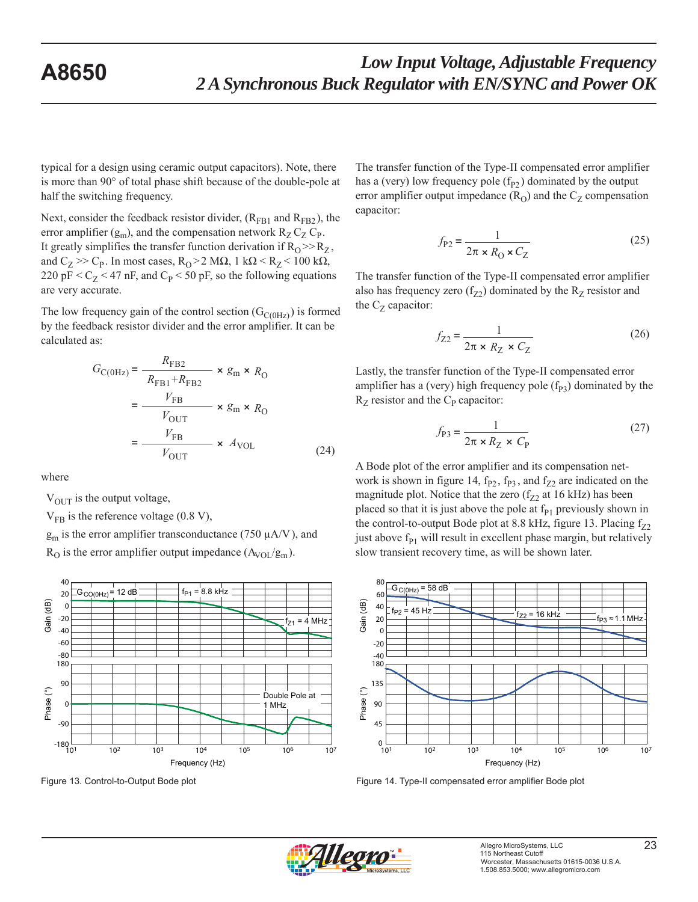typical for a design using ceramic output capacitors). Note, there is more than 90° of total phase shift because of the double-pole at half the switching frequency.

Next, consider the feedback resistor divider,  $(R<sub>FB1</sub>$  and  $R<sub>FB2</sub>$ ), the error amplifier  $(g_m)$ , and the compensation network  $R_Z C_Z C_P$ . It greatly simplifies the transfer function derivation if  $R_0 \gg R_Z$ , and  $C_Z \gg C_P$ . In most cases,  $R_O > 2 M\Omega$ , 1 k $\Omega < R_Z < 100$  k $\Omega$ , 220 pF  $\lt C_Z \lt 47$  nF, and  $C_P \lt 50$  pF, so the following equations are very accurate.

The low frequency gain of the control section  $(G_{C(OHz)})$  is formed by the feedback resistor divider and the error amplifier. It can be calculated as:

$$
G_{\text{C}(\text{0Hz})} = \frac{R_{\text{FB2}}}{R_{\text{FB1}} + R_{\text{FB2}}} \times g_{\text{m}} \times R_{\text{O}}
$$

$$
= \frac{V_{\text{FB}}}{V_{\text{OUT}}} \times g_{\text{m}} \times R_{\text{O}}
$$

$$
= \frac{V_{\text{FB}}}{V_{\text{OUT}}} \times A_{\text{VOL}} \tag{24}
$$

where

 $V_{\text{OUT}}$  is the output voltage,

 $V_{FB}$  is the reference voltage (0.8 V),

 $g_m$  is the error amplifier transconductance (750  $\mu$ A/V), and

 $R_{\rm O}$  is the error amplifier output impedance  $(A_{\rm VOL}/g_{\rm m})$ .



The transfer function of the Type-II compensated error amplifier has a (very) low frequency pole  $(f_{P2})$  dominated by the output error amplifier output impedance  $(R<sub>O</sub>)$  and the  $C<sub>Z</sub>$  compensation capacitor:

$$
f_{P2} = \frac{1}{2\pi \times R_0 \times C_Z}
$$
 (25)

The transfer function of the Type-II compensated error amplifier also has frequency zero  $(f_{Z2})$  dominated by the  $R_{Z}$  resistor and the  $C_Z$  capacitor:

$$
f_{Z2} = \frac{1}{2\pi \times R_Z \times C_Z} \tag{26}
$$

Lastly, the transfer function of the Type-II compensated error amplifier has a (very) high frequency pole  $(f_{P3})$  dominated by the  $R_Z$  resistor and the  $C_P$  capacitor:

$$
f_{\rm P3} = \frac{1}{2\pi \times R_Z \times C_{\rm P}}
$$
 (27)

A Bode plot of the error amplifier and its compensation network is shown in figure 14,  $f_{P2}$ ,  $f_{P3}$ , and  $f_{Z2}$  are indicated on the magnitude plot. Notice that the zero  $(f_{Z2})$  at 16 kHz) has been placed so that it is just above the pole at  $f_{P1}$  previously shown in the control-to-output Bode plot at 8.8 kHz, figure 13. Placing  $f_{Z2}$ just above  $f_{P1}$  will result in excellent phase margin, but relatively slow transient recovery time, as will be shown later.



Figure 13. Control-to-Output Bode plot Figure 14. Type-II compensated error amplifier Bode plot

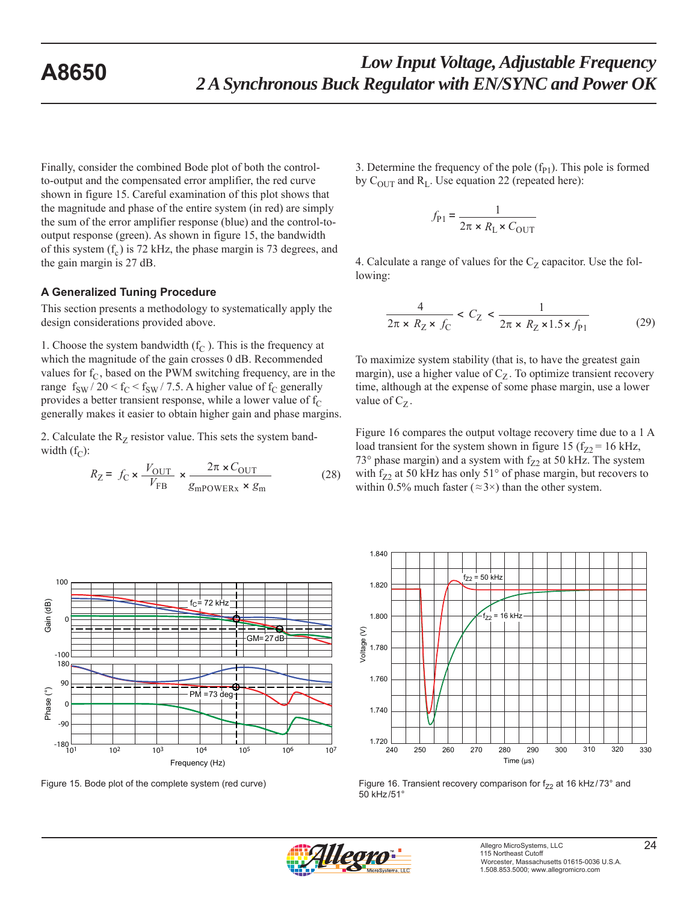Finally, consider the combined Bode plot of both the controlto-output and the compensated error amplifier, the red curve shown in figure 15. Careful examination of this plot shows that the magnitude and phase of the entire system (in red) are simply the sum of the error amplifier response (blue) and the control-tooutput response (green). As shown in figure 15, the bandwidth of this system  $(f_c)$  is 72 kHz, the phase margin is 73 degrees, and the gain margin is 27 dB.

#### **A Generalized Tuning Procedure**

This section presents a methodology to systematically apply the design considerations provided above.

1. Choose the system bandwidth  $(f_C)$ . This is the frequency at which the magnitude of the gain crosses 0 dB. Recommended values for  $f_C$ , based on the PWM switching frequency, are in the range  $f_{SW}$  / 20 <  $f_C$  <  $f_{SW}$  / 7.5. A higher value of  $f_C$  generally provides a better transient response, while a lower value of  $f_C$ generally makes it easier to obtain higher gain and phase margins.

2. Calculate the  $R_Z$  resistor value. This sets the system bandwidth  $(f_C)$ :

$$
R_Z = f_C \times \frac{V_{\text{OUT}}}{V_{\text{FB}}} \times \frac{2\pi \times C_{\text{OUT}}}{g_{\text{mPOWERx}} \times g_{\text{m}}}
$$
(28)

3. Determine the frequency of the pole  $(f_{P1})$ . This pole is formed by  $C_{\text{OUT}}$  and  $R_{\text{L}}$ . Use equation 22 (repeated here):

$$
f_{\rm P1} = \frac{1}{2\pi \times R_{\rm L} \times C_{\rm OUT}}
$$

4. Calculate a range of values for the  $C_Z$  capacitor. Use the following:

$$
\frac{4}{2\pi \times R_Z \times f_C} < C_Z < \frac{1}{2\pi \times R_Z \times 1.5 \times f_{\text{Pl}}}
$$
\n<sup>(29)</sup>

To maximize system stability (that is, to have the greatest gain margin), use a higher value of  $C_Z$ . To optimize transient recovery time, although at the expense of some phase margin, use a lower value of  $C_Z$ .

Figure 16 compares the output voltage recovery time due to a 1 A load transient for the system shown in figure 15 ( $f_{Z2}$  = 16 kHz, 73° phase margin) and a system with  $f_{Z2}$  at 50 kHz. The system with f<sub>Z2</sub> at 50 kHz has only 51 $^{\circ}$  of phase margin, but recovers to within 0.5% much faster ( $\approx$ 3 $\times$ ) than the other system.



Figure 16. Transient recovery comparison for  $f_{72}$  at 16 kHz/73° and 50 kHz /51°





Figure 15. Bode plot of the complete system (red curve)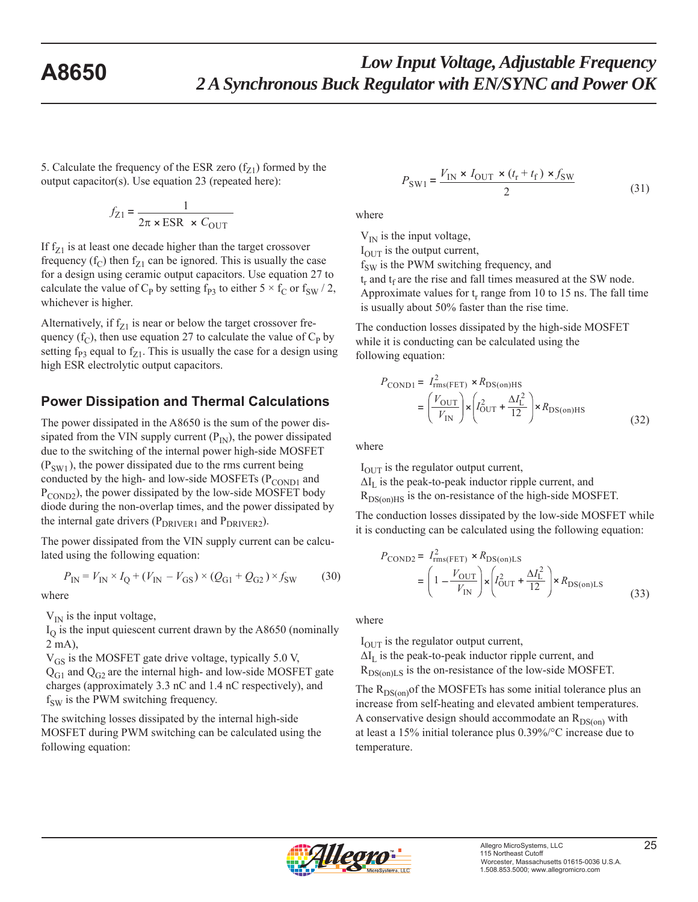5. Calculate the frequency of the ESR zero  $(f_{Z1})$  formed by the output capacitor(s). Use equation 23 (repeated here):

$$
f_{Z1} = \frac{1}{2\pi \times \text{ESR} \times C_{\text{OUT}}}
$$

If  $f_{Z1}$  is at least one decade higher than the target crossover frequency  $(f_C)$  then  $f_{Z1}$  can be ignored. This is usually the case for a design using ceramic output capacitors. Use equation 27 to calculate the value of C<sub>P</sub> by setting f<sub>P3</sub> to either  $5 \times f_C$  or f<sub>SW</sub> / 2, whichever is higher.

Alternatively, if  $f_{Z1}$  is near or below the target crossover frequency ( $f_C$ ), then use equation 27 to calculate the value of  $C_P$  by setting  $f_{P3}$  equal to  $f_{Z1}$ . This is usually the case for a design using high ESR electrolytic output capacitors.

## **Power Dissipation and Thermal Calculations**

The power dissipated in the A8650 is the sum of the power dissipated from the VIN supply current  $(P_{IN})$ , the power dissipated due to the switching of the internal power high-side MOSFET  $(P_{SW1})$ , the power dissipated due to the rms current being conducted by the high- and low-side MOSFETs ( $P_{\text{COMP1}}$  and P<sub>COND2</sub>), the power dissipated by the low-side MOSFET body diode during the non-overlap times, and the power dissipated by the internal gate drivers ( $P_{DRIVER1}$  and  $P_{DRIVER2}$ ).

The power dissipated from the VIN supply current can be calculated using the following equation:

$$
P_{\text{IN}} = V_{\text{IN}} \times I_{\text{Q}} + (V_{\text{IN}} - V_{\text{GS}}) \times (Q_{\text{G1}} + Q_{\text{G2}}) \times f_{\text{SW}} \tag{30}
$$

where

 $V_{IN}$  is the input voltage,

 $I<sub>O</sub>$  is the input quiescent current drawn by the A8650 (nominally 2 mA),

 $V_{GS}$  is the MOSFET gate drive voltage, typically 5.0 V,

 $Q<sub>G1</sub>$  and  $Q<sub>G2</sub>$  are the internal high- and low-side MOSFET gate charges (approximately 3.3 nC and 1.4 nC respectively), and  $f<sub>SW</sub>$  is the PWM switching frequency.

The switching losses dissipated by the internal high-side MOSFET during PWM switching can be calculated using the following equation:

$$
P_{\text{SW1}} = \frac{V_{\text{IN}} \times I_{\text{OUT}} \times (t_{\text{r}} + t_{\text{f}}) \times f_{\text{SW}}}{2}
$$
(31)

where

 $V_{IN}$  is the input voltage,

I<sub>OUT</sub> is the output current,

 $f<sub>SW</sub>$  is the PWM switching frequency, and

 $t_r$  and  $t_f$  are the rise and fall times measured at the SW node.

Approximate values for  $t_r$  range from 10 to 15 ns. The fall time is usually about 50% faster than the rise time.

The conduction losses dissipated by the high-side MOSFET while it is conducting can be calculated using the following equation:

$$
P_{\text{COND1}} = I_{\text{rms}(FET)}^2 \times R_{\text{DS}(on)HS}
$$
  
= 
$$
\left(\frac{V_{\text{OUT}}}{V_{\text{IN}}}\right) \times \left(I_{\text{OUT}}^2 + \frac{\Delta I_{\text{L}}^2}{12}\right) \times R_{\text{DS}(on)HS}
$$
 (32)

where

 $I_{\text{OUT}}$  is the regulator output current,

 $\Delta I_L$  is the peak-to-peak inductor ripple current, and

 $R_{DS(on)HS}$  is the on-resistance of the high-side MOSFET.

The conduction losses dissipated by the low-side MOSFET while it is conducting can be calculated using the following equation:

$$
P_{\text{COND2}} = I_{\text{rms(FET)}}^2 \times R_{\text{DS(on)LS}}
$$
  
= 
$$
\left(1 - \frac{V_{\text{OUT}}}{V_{\text{IN}}}\right) \times \left(I_{\text{OUT}}^2 + \frac{\Delta I_L^2}{12}\right) \times R_{\text{DS(on)LS}}
$$
(33)

where

 $I_{\text{OUT}}$  is the regulator output current,

 $\Delta I_L$  is the peak-to-peak inductor ripple current, and  $R_{DS(on)LS}$  is the on-resistance of the low-side MOSFET.

The  $R_{DS(on)}$  of the MOSFETs has some initial tolerance plus an increase from self-heating and elevated ambient temperatures. A conservative design should accommodate an  $R_{DS(0n)}$  with at least a 15% initial tolerance plus 0.39%/°C increase due to temperature.

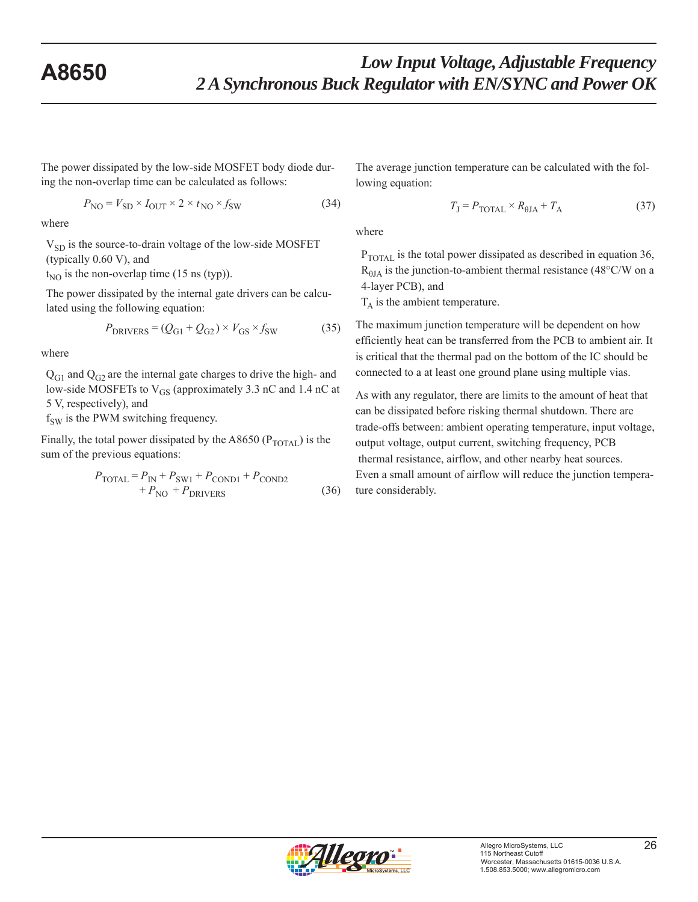The power dissipated by the low-side MOSFET body diode during the non-overlap time can be calculated as follows:

$$
P_{\rm NO} = V_{\rm SD} \times I_{\rm OUT} \times 2 \times t_{\rm NO} \times f_{\rm SW}
$$
 (34)

where

 $V_{SD}$  is the source-to-drain voltage of the low-side MOSFET (typically 0.60 V), and

 $t_{NO}$  is the non-overlap time (15 ns (typ)).

The power dissipated by the internal gate drivers can be calculated using the following equation:

$$
P_{DRIVERS} = (Q_{G1} + Q_{G2}) \times V_{GS} \times f_{SW}
$$
 (35)

where

 $Q<sub>G1</sub>$  and  $Q<sub>G2</sub>$  are the internal gate charges to drive the high- and low-side MOSFETs to V<sub>GS</sub> (approximately 3.3 nC and 1.4 nC at 5 V, respectively), and

 $f<sub>SW</sub>$  is the PWM switching frequency.

Finally, the total power dissipated by the A8650 ( $P_{\text{TOTAL}}$ ) is the sum of the previous equations:

$$
P_{\text{TOTAL}} = P_{\text{IN}} + P_{\text{SW1}} + P_{\text{COND1}} + P_{\text{COND2}} + P_{\text{NO}} + P_{\text{DRIVERS}} \tag{36}
$$

The average junction temperature can be calculated with the following equation:

$$
T_{\rm J} = P_{\rm TOTAL} \times R_{\rm \theta JA} + T_{\rm A} \tag{37}
$$

where

P<sub>TOTAL</sub> is the total power dissipated as described in equation 36,  $R_{\theta JA}$  is the junction-to-ambient thermal resistance (48°C/W on a 4-layer PCB), and

 $T_A$  is the ambient temperature.

The maximum junction temperature will be dependent on how efficiently heat can be transferred from the PCB to ambient air. It is critical that the thermal pad on the bottom of the IC should be connected to a at least one ground plane using multiple vias.

As with any regulator, there are limits to the amount of heat that can be dissipated before risking thermal shutdown. There are trade-offs between: ambient operating temperature, input voltage, output voltage, output current, switching frequency, PCB thermal resistance, airflow, and other nearby heat sources. Even a small amount of airflow will reduce the junction temperature considerably.

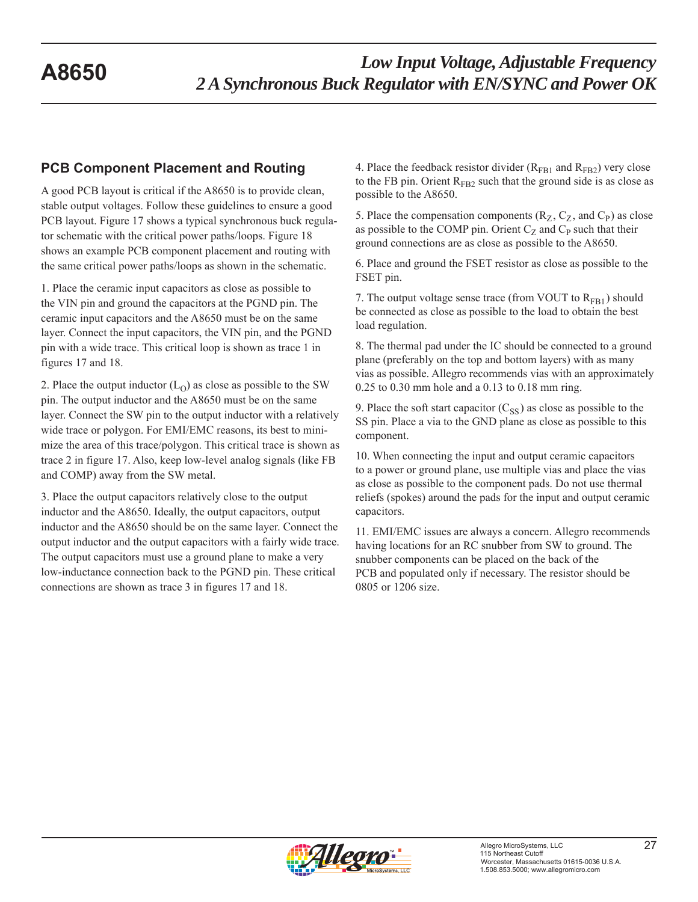## **PCB Component Placement and Routing**

A good PCB layout is critical if the A8650 is to provide clean, stable output voltages. Follow these guidelines to ensure a good PCB layout. Figure 17 shows a typical synchronous buck regulator schematic with the critical power paths/loops. Figure 18 shows an example PCB component placement and routing with the same critical power paths/loops as shown in the schematic.

1. Place the ceramic input capacitors as close as possible to the VIN pin and ground the capacitors at the PGND pin. The ceramic input capacitors and the A8650 must be on the same layer. Connect the input capacitors, the VIN pin, and the PGND pin with a wide trace. This critical loop is shown as trace 1 in figures 17 and 18.

2. Place the output inductor  $(L<sub>O</sub>)$  as close as possible to the SW pin. The output inductor and the A8650 must be on the same layer. Connect the SW pin to the output inductor with a relatively wide trace or polygon. For EMI/EMC reasons, its best to minimize the area of this trace/polygon. This critical trace is shown as trace 2 in figure 17. Also, keep low-level analog signals (like FB and COMP) away from the SW metal.

3. Place the output capacitors relatively close to the output inductor and the A8650. Ideally, the output capacitors, output inductor and the A8650 should be on the same layer. Connect the output inductor and the output capacitors with a fairly wide trace. The output capacitors must use a ground plane to make a very low-inductance connection back to the PGND pin. These critical connections are shown as trace 3 in figures 17 and 18.

4. Place the feedback resistor divider  $(R<sub>FB1</sub>$  and  $R<sub>FB2</sub>$ ) very close to the FB pin. Orient  $R_{FB2}$  such that the ground side is as close as possible to the A8650.

5. Place the compensation components  $(R_Z, C_Z, and C_P)$  as close as possible to the COMP pin. Orient  $C_Z$  and  $C_P$  such that their ground connections are as close as possible to the A8650.

6. Place and ground the FSET resistor as close as possible to the FSET pin.

7. The output voltage sense trace (from VOUT to  $R_{FB1}$ ) should be connected as close as possible to the load to obtain the best load regulation.

8. The thermal pad under the IC should be connected to a ground plane (preferably on the top and bottom layers) with as many vias as possible. Allegro recommends vias with an approximately 0.25 to 0.30 mm hole and a 0.13 to 0.18 mm ring.

9. Place the soft start capacitor  $(C_{SS})$  as close as possible to the SS pin. Place a via to the GND plane as close as possible to this component.

10. When connecting the input and output ceramic capacitors to a power or ground plane, use multiple vias and place the vias as close as possible to the component pads. Do not use thermal reliefs (spokes) around the pads for the input and output ceramic capacitors.

11. EMI/EMC issues are always a concern. Allegro recommends having locations for an RC snubber from SW to ground. The snubber components can be placed on the back of the PCB and populated only if necessary. The resistor should be 0805 or 1206 size.

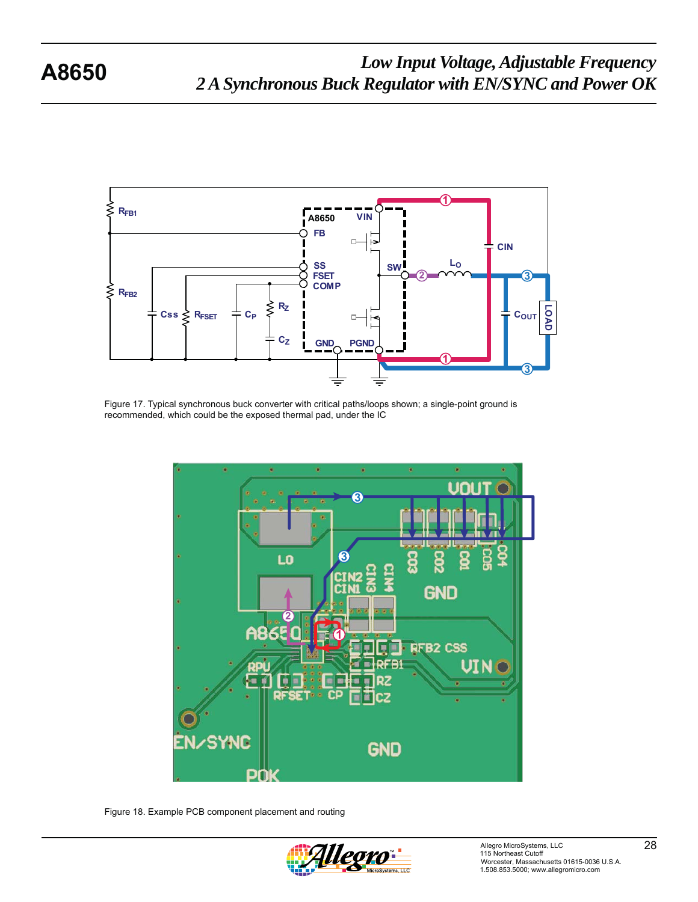

Figure 17. Typical synchronous buck converter with critical paths/loops shown; a single-point ground is recommended, which could be the exposed thermal pad, under the IC



Figure 18. Example PCB component placement and routing

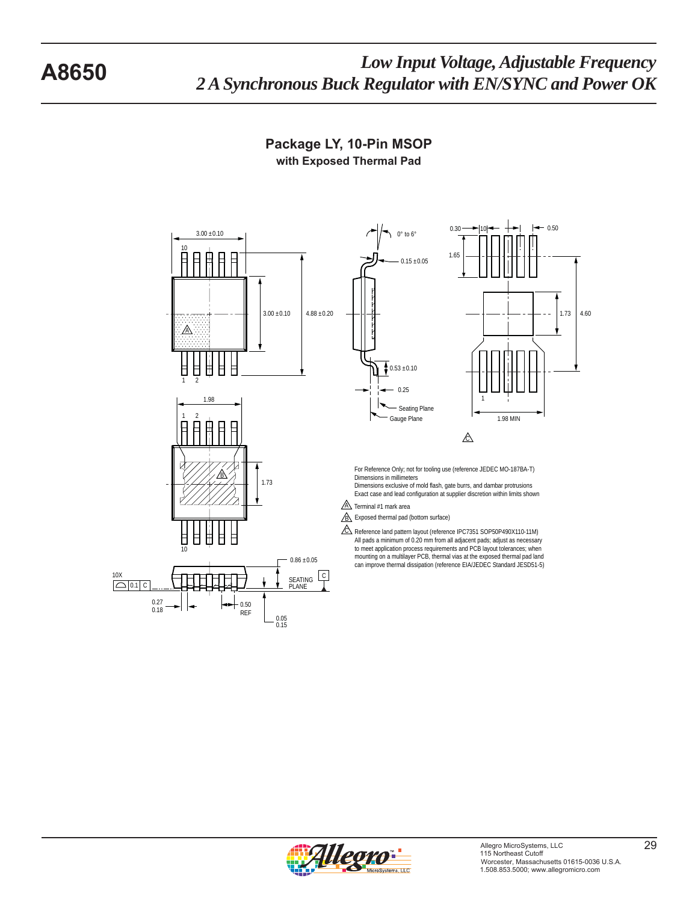

**Package LY, 10-Pin MSOP with Exposed Thermal Pad**